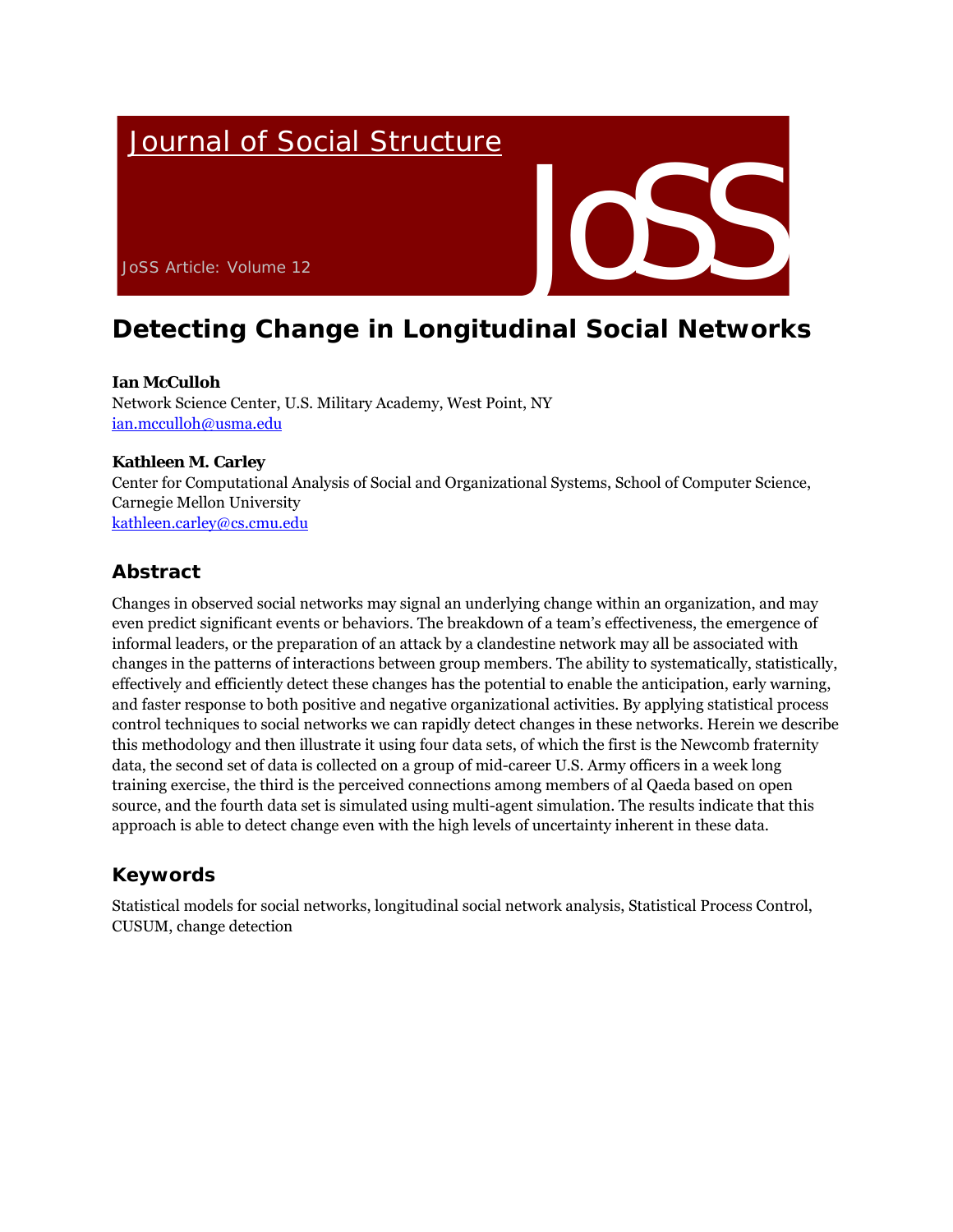# **Journal of Social Structure**



# **Detecting Change in Longitudinal Social Networks**

## **Ian McCulloh**

Network Science Center, U.S. Military Academy, West Point, NY ian.mcculloh@usma.edu

## **Kathleen M. Carley**

Center for Computational Analysis of Social and Organizational Systems, School of Computer Science, Carnegie Mellon University kathleen.carley@cs.cmu.edu

# **Abstract**

Changes in observed social networks may signal an underlying change within an organization, and may even predict significant events or behaviors. The breakdown of a team's effectiveness, the emergence of informal leaders, or the preparation of an attack by a clandestine network may all be associated with changes in the patterns of interactions between group members. The ability to systematically, statistically, effectively and efficiently detect these changes has the potential to enable the anticipation, early warning, and faster response to both positive and negative organizational activities. By applying statistical process control techniques to social networks we can rapidly detect changes in these networks. Herein we describe this methodology and then illustrate it using four data sets, of which the first is the Newcomb fraternity data, the second set of data is collected on a group of mid-career U.S. Army officers in a week long training exercise, the third is the perceived connections among members of al Qaeda based on open source, and the fourth data set is simulated using multi-agent simulation. The results indicate that this approach is able to detect change even with the high levels of uncertainty inherent in these data.

# **Keywords**

Statistical models for social networks, longitudinal social network analysis, Statistical Process Control, CUSUM, change detection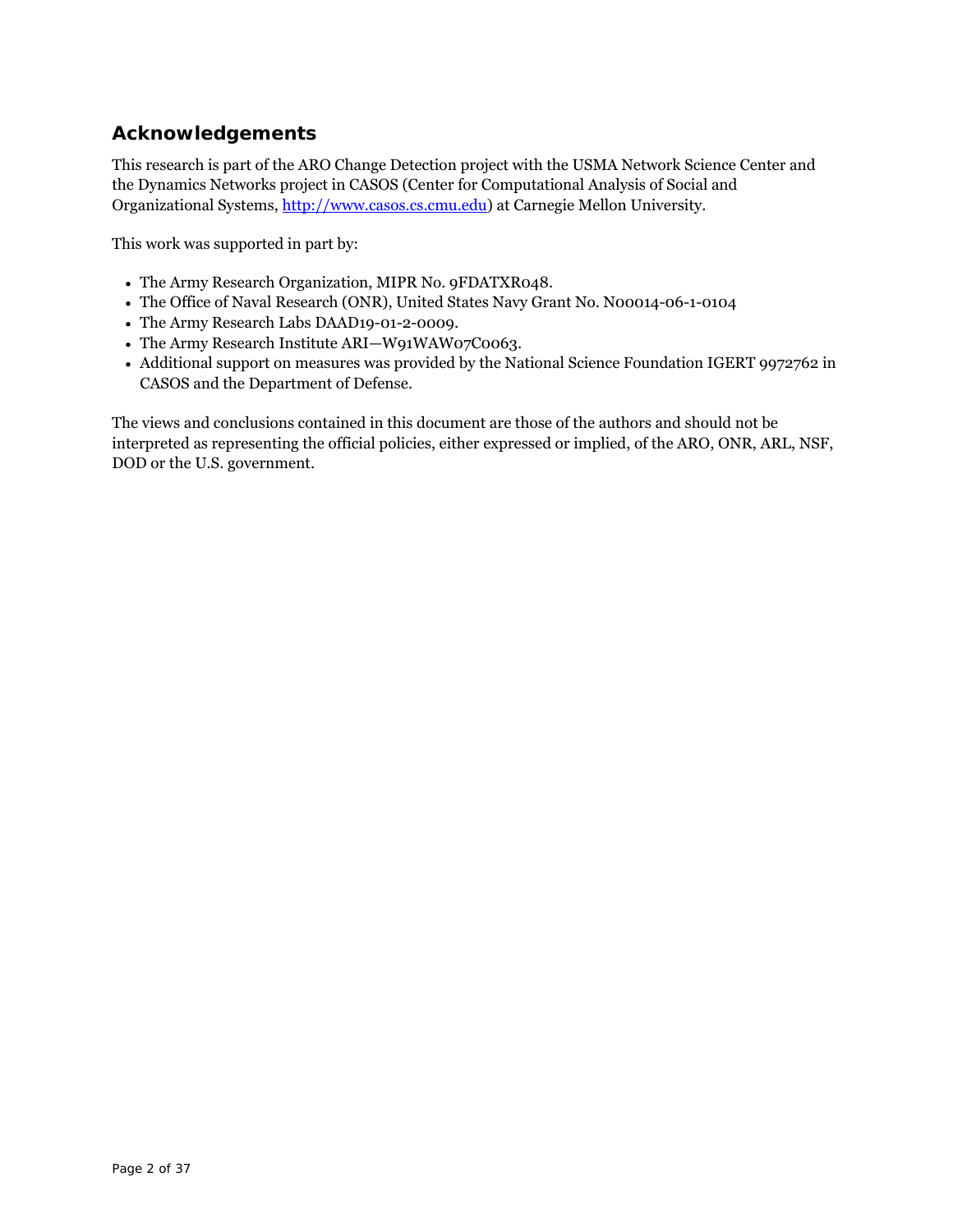# **Acknowledgements**

This research is part of the ARO Change Detection project with the USMA Network Science Center and the Dynamics Networks project in CASOS (Center for Computational Analysis of Social and Organizational Systems, http://www.casos.cs.cmu.edu) at Carnegie Mellon University.

This work was supported in part by:

- The Army Research Organization, MIPR No. 9FDATXR048.
- The Office of Naval Research (ONR), United States Navy Grant No. N00014-06-1-0104
- The Army Research Labs DAAD19-01-2-0009.
- The Army Research Institute ARI—W91WAW07C0063.
- Additional support on measures was provided by the National Science Foundation IGERT 9972762 in CASOS and the Department of Defense.

The views and conclusions contained in this document are those of the authors and should not be interpreted as representing the official policies, either expressed or implied, of the ARO, ONR, ARL, NSF, DOD or the U.S. government.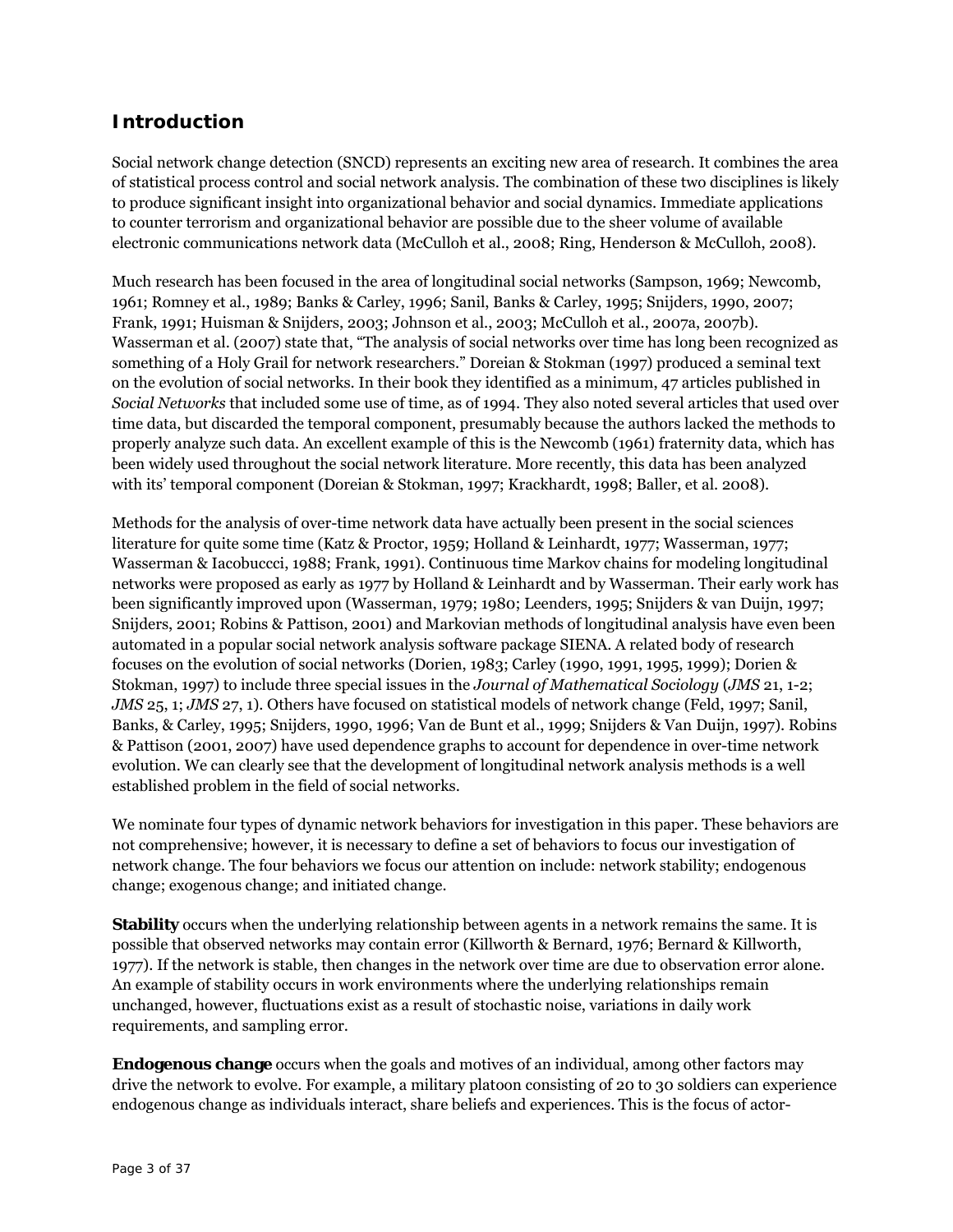# **Introduction**

Social network change detection (SNCD) represents an exciting new area of research. It combines the area of statistical process control and social network analysis. The combination of these two disciplines is likely to produce significant insight into organizational behavior and social dynamics. Immediate applications to counter terrorism and organizational behavior are possible due to the sheer volume of available electronic communications network data (McCulloh et al., 2008; Ring, Henderson & McCulloh, 2008).

Much research has been focused in the area of longitudinal social networks (Sampson, 1969; Newcomb, 1961; Romney et al., 1989; Banks & Carley, 1996; Sanil, Banks & Carley, 1995; Snijders, 1990, 2007; Frank, 1991; Huisman & Snijders, 2003; Johnson et al., 2003; McCulloh et al., 2007a, 2007b). Wasserman et al. (2007) state that, "The analysis of social networks over time has long been recognized as something of a Holy Grail for network researchers." Doreian & Stokman (1997) produced a seminal text on the evolution of social networks. In their book they identified as a minimum, 47 articles published in *Social Networks* that included some use of time, as of 1994. They also noted several articles that used over time data, but discarded the temporal component, presumably because the authors lacked the methods to properly analyze such data. An excellent example of this is the Newcomb (1961) fraternity data, which has been widely used throughout the social network literature. More recently, this data has been analyzed with its' temporal component (Doreian & Stokman, 1997; Krackhardt, 1998; Baller, et al. 2008).

Methods for the analysis of over-time network data have actually been present in the social sciences literature for quite some time (Katz & Proctor, 1959; Holland & Leinhardt, 1977; Wasserman, 1977; Wasserman & Iacobuccci, 1988; Frank, 1991). Continuous time Markov chains for modeling longitudinal networks were proposed as early as 1977 by Holland & Leinhardt and by Wasserman. Their early work has been significantly improved upon (Wasserman, 1979; 1980; Leenders, 1995; Snijders & van Duijn, 1997; Snijders, 2001; Robins & Pattison, 2001) and Markovian methods of longitudinal analysis have even been automated in a popular social network analysis software package SIENA. A related body of research focuses on the evolution of social networks (Dorien, 1983; Carley (1990, 1991, 1995, 1999); Dorien & Stokman, 1997) to include three special issues in the *Journal of Mathematical Sociology* (*JMS* 21, 1-2; *JMS* 25, 1; *JMS* 27, 1). Others have focused on statistical models of network change (Feld, 1997; Sanil, Banks, & Carley, 1995; Snijders, 1990, 1996; Van de Bunt et al., 1999; Snijders & Van Duijn, 1997). Robins & Pattison (2001, 2007) have used dependence graphs to account for dependence in over-time network evolution. We can clearly see that the development of longitudinal network analysis methods is a well established problem in the field of social networks.

We nominate four types of dynamic network behaviors for investigation in this paper. These behaviors are not comprehensive; however, it is necessary to define a set of behaviors to focus our investigation of network change. The four behaviors we focus our attention on include: network stability; endogenous change; exogenous change; and initiated change.

**Stability** occurs when the underlying relationship between agents in a network remains the same. It is possible that observed networks may contain error (Killworth & Bernard, 1976; Bernard & Killworth, 1977). If the network is stable, then changes in the network over time are due to observation error alone. An example of stability occurs in work environments where the underlying relationships remain unchanged, however, fluctuations exist as a result of stochastic noise, variations in daily work requirements, and sampling error.

**Endogenous change** occurs when the goals and motives of an individual, among other factors may drive the network to evolve. For example, a military platoon consisting of 20 to 30 soldiers can experience endogenous change as individuals interact, share beliefs and experiences. This is the focus of actor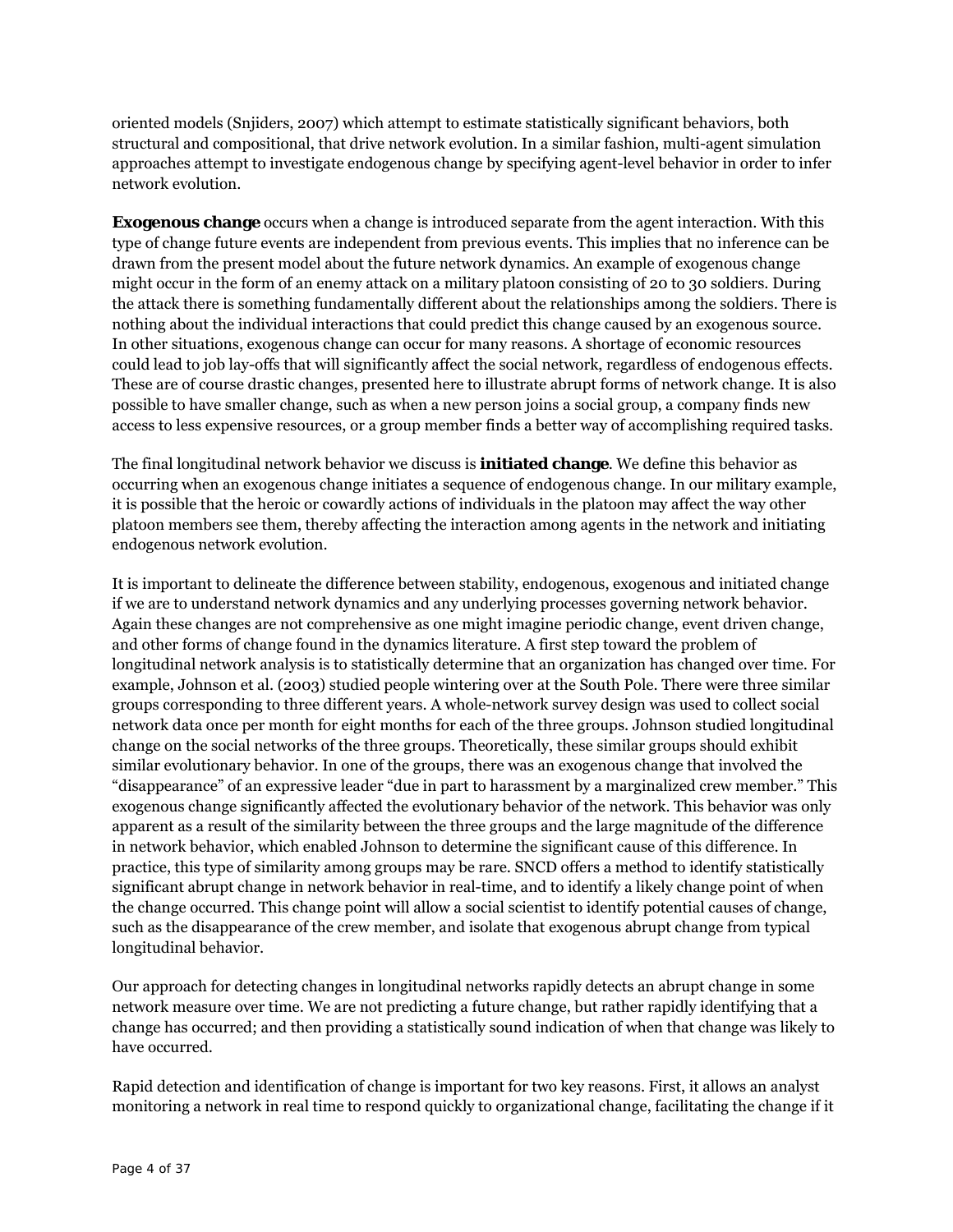oriented models (Snjiders, 2007) which attempt to estimate statistically significant behaviors, both structural and compositional, that drive network evolution. In a similar fashion, multi-agent simulation approaches attempt to investigate endogenous change by specifying agent-level behavior in order to infer network evolution.

**Exogenous change** occurs when a change is introduced separate from the agent interaction. With this type of change future events are independent from previous events. This implies that no inference can be drawn from the present model about the future network dynamics. An example of exogenous change might occur in the form of an enemy attack on a military platoon consisting of 20 to 30 soldiers. During the attack there is something fundamentally different about the relationships among the soldiers. There is nothing about the individual interactions that could predict this change caused by an exogenous source. In other situations, exogenous change can occur for many reasons. A shortage of economic resources could lead to job lay-offs that will significantly affect the social network, regardless of endogenous effects. These are of course drastic changes, presented here to illustrate abrupt forms of network change. It is also possible to have smaller change, such as when a new person joins a social group, a company finds new access to less expensive resources, or a group member finds a better way of accomplishing required tasks.

The final longitudinal network behavior we discuss is **initiated change**. We define this behavior as occurring when an exogenous change initiates a sequence of endogenous change. In our military example, it is possible that the heroic or cowardly actions of individuals in the platoon may affect the way other platoon members see them, thereby affecting the interaction among agents in the network and initiating endogenous network evolution.

It is important to delineate the difference between stability, endogenous, exogenous and initiated change if we are to understand network dynamics and any underlying processes governing network behavior. Again these changes are not comprehensive as one might imagine periodic change, event driven change, and other forms of change found in the dynamics literature. A first step toward the problem of longitudinal network analysis is to statistically determine that an organization has changed over time. For example, Johnson et al. (2003) studied people wintering over at the South Pole. There were three similar groups corresponding to three different years. A whole-network survey design was used to collect social network data once per month for eight months for each of the three groups. Johnson studied longitudinal change on the social networks of the three groups. Theoretically, these similar groups should exhibit similar evolutionary behavior. In one of the groups, there was an exogenous change that involved the "disappearance" of an expressive leader "due in part to harassment by a marginalized crew member." This exogenous change significantly affected the evolutionary behavior of the network. This behavior was only apparent as a result of the similarity between the three groups and the large magnitude of the difference in network behavior, which enabled Johnson to determine the significant cause of this difference. In practice, this type of similarity among groups may be rare. SNCD offers a method to identify statistically significant abrupt change in network behavior in real-time, and to identify a likely change point of when the change occurred. This change point will allow a social scientist to identify potential causes of change, such as the disappearance of the crew member, and isolate that exogenous abrupt change from typical longitudinal behavior.

Our approach for detecting changes in longitudinal networks rapidly detects an abrupt change in some network measure over time. We are not predicting a future change, but rather rapidly identifying that a change has occurred; and then providing a statistically sound indication of when that change was likely to have occurred.

Rapid detection and identification of change is important for two key reasons. First, it allows an analyst monitoring a network in real time to respond quickly to organizational change, facilitating the change if it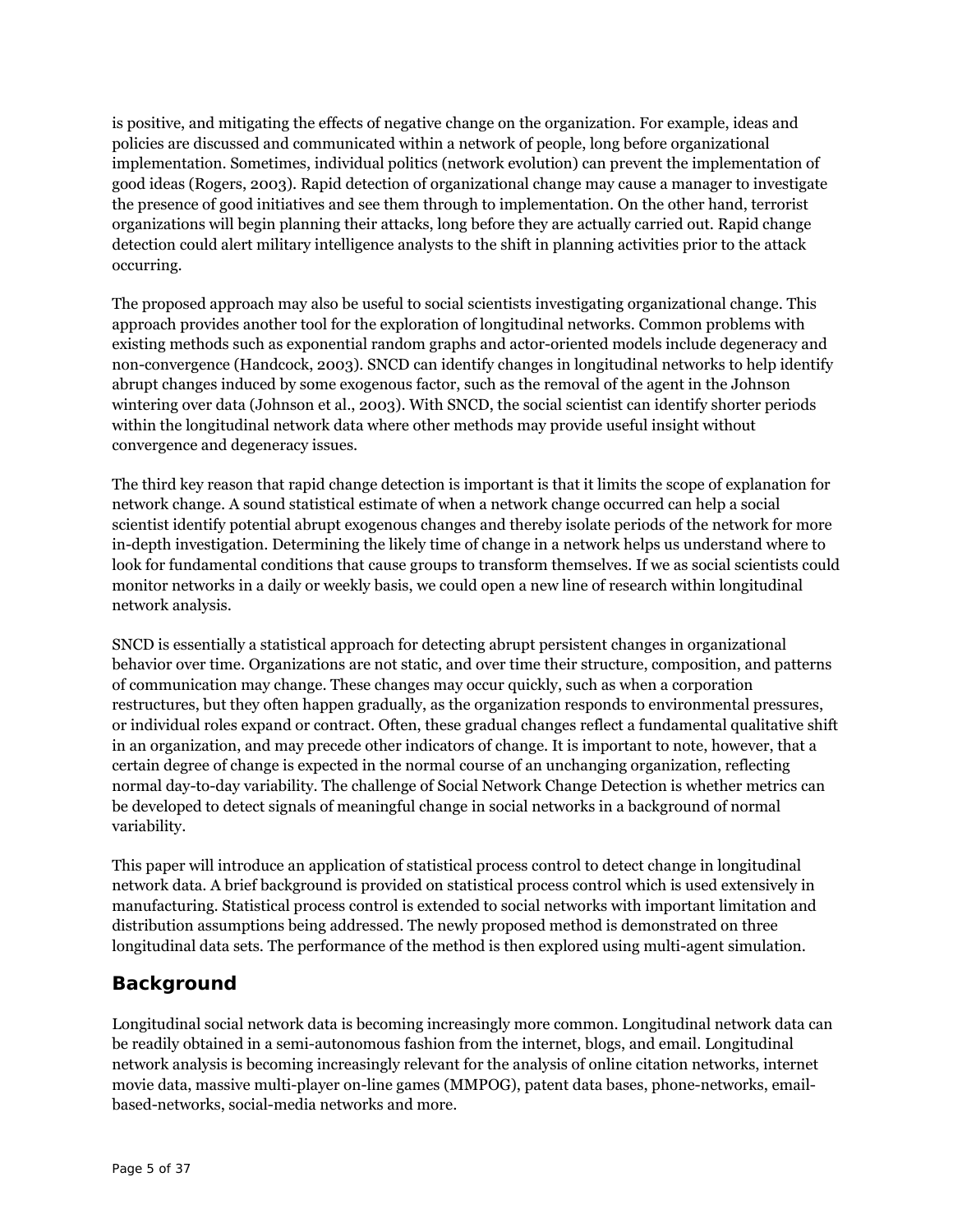is positive, and mitigating the effects of negative change on the organization. For example, ideas and policies are discussed and communicated within a network of people, long before organizational implementation. Sometimes, individual politics (network evolution) can prevent the implementation of good ideas (Rogers, 2003). Rapid detection of organizational change may cause a manager to investigate the presence of good initiatives and see them through to implementation. On the other hand, terrorist organizations will begin planning their attacks, long before they are actually carried out. Rapid change detection could alert military intelligence analysts to the shift in planning activities prior to the attack occurring.

The proposed approach may also be useful to social scientists investigating organizational change. This approach provides another tool for the exploration of longitudinal networks. Common problems with existing methods such as exponential random graphs and actor-oriented models include degeneracy and non-convergence (Handcock, 2003). SNCD can identify changes in longitudinal networks to help identify abrupt changes induced by some exogenous factor, such as the removal of the agent in the Johnson wintering over data (Johnson et al., 2003). With SNCD, the social scientist can identify shorter periods within the longitudinal network data where other methods may provide useful insight without convergence and degeneracy issues.

The third key reason that rapid change detection is important is that it limits the scope of explanation for network change. A sound statistical estimate of when a network change occurred can help a social scientist identify potential abrupt exogenous changes and thereby isolate periods of the network for more in-depth investigation. Determining the likely time of change in a network helps us understand where to look for fundamental conditions that cause groups to transform themselves. If we as social scientists could monitor networks in a daily or weekly basis, we could open a new line of research within longitudinal network analysis.

SNCD is essentially a statistical approach for detecting abrupt persistent changes in organizational behavior over time. Organizations are not static, and over time their structure, composition, and patterns of communication may change. These changes may occur quickly, such as when a corporation restructures, but they often happen gradually, as the organization responds to environmental pressures, or individual roles expand or contract. Often, these gradual changes reflect a fundamental qualitative shift in an organization, and may precede other indicators of change. It is important to note, however, that a certain degree of change is expected in the normal course of an unchanging organization, reflecting normal day-to-day variability. The challenge of Social Network Change Detection is whether metrics can be developed to detect signals of meaningful change in social networks in a background of normal variability.

This paper will introduce an application of statistical process control to detect change in longitudinal network data. A brief background is provided on statistical process control which is used extensively in manufacturing. Statistical process control is extended to social networks with important limitation and distribution assumptions being addressed. The newly proposed method is demonstrated on three longitudinal data sets. The performance of the method is then explored using multi-agent simulation.

# **Background**

Longitudinal social network data is becoming increasingly more common. Longitudinal network data can be readily obtained in a semi-autonomous fashion from the internet, blogs, and email. Longitudinal network analysis is becoming increasingly relevant for the analysis of online citation networks, internet movie data, massive multi-player on-line games (MMPOG), patent data bases, phone-networks, emailbased-networks, social-media networks and more.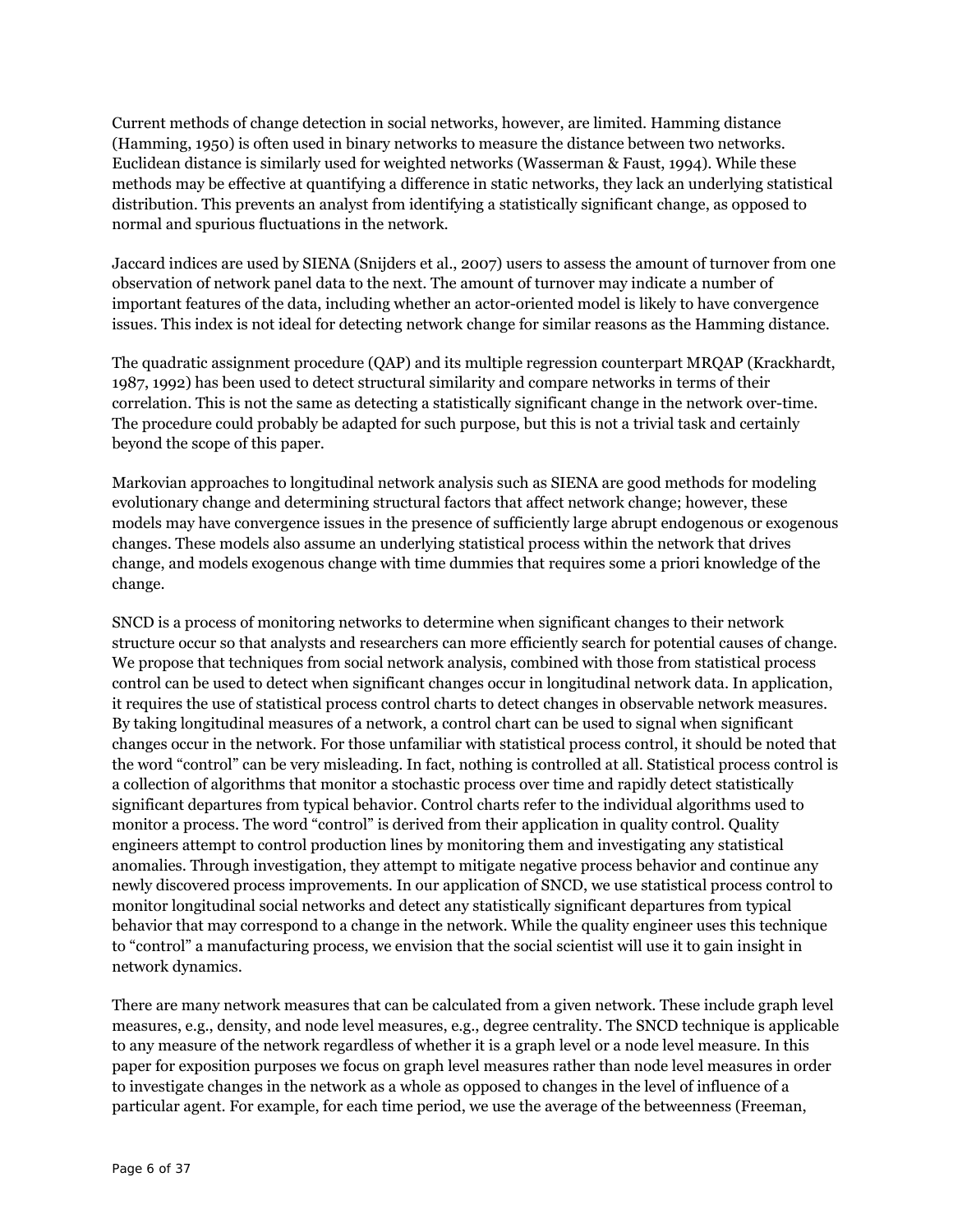Current methods of change detection in social networks, however, are limited. Hamming distance (Hamming, 1950) is often used in binary networks to measure the distance between two networks. Euclidean distance is similarly used for weighted networks (Wasserman & Faust, 1994). While these methods may be effective at quantifying a difference in static networks, they lack an underlying statistical distribution. This prevents an analyst from identifying a statistically significant change, as opposed to normal and spurious fluctuations in the network.

Jaccard indices are used by SIENA (Snijders et al., 2007) users to assess the amount of turnover from one observation of network panel data to the next. The amount of turnover may indicate a number of important features of the data, including whether an actor-oriented model is likely to have convergence issues. This index is not ideal for detecting network change for similar reasons as the Hamming distance.

The quadratic assignment procedure (QAP) and its multiple regression counterpart MRQAP (Krackhardt, 1987, 1992) has been used to detect structural similarity and compare networks in terms of their correlation. This is not the same as detecting a statistically significant change in the network over-time. The procedure could probably be adapted for such purpose, but this is not a trivial task and certainly beyond the scope of this paper.

Markovian approaches to longitudinal network analysis such as SIENA are good methods for modeling evolutionary change and determining structural factors that affect network change; however, these models may have convergence issues in the presence of sufficiently large abrupt endogenous or exogenous changes. These models also assume an underlying statistical process within the network that drives change, and models exogenous change with time dummies that requires some a priori knowledge of the change.

SNCD is a process of monitoring networks to determine when significant changes to their network structure occur so that analysts and researchers can more efficiently search for potential causes of change. We propose that techniques from social network analysis, combined with those from statistical process control can be used to detect when significant changes occur in longitudinal network data. In application, it requires the use of statistical process control charts to detect changes in observable network measures. By taking longitudinal measures of a network, a control chart can be used to signal when significant changes occur in the network. For those unfamiliar with statistical process control, it should be noted that the word "control" can be very misleading. In fact, nothing is controlled at all. Statistical process control is a collection of algorithms that monitor a stochastic process over time and rapidly detect statistically significant departures from typical behavior. Control charts refer to the individual algorithms used to monitor a process. The word "control" is derived from their application in quality control. Quality engineers attempt to control production lines by monitoring them and investigating any statistical anomalies. Through investigation, they attempt to mitigate negative process behavior and continue any newly discovered process improvements. In our application of SNCD, we use statistical process control to monitor longitudinal social networks and detect any statistically significant departures from typical behavior that may correspond to a change in the network. While the quality engineer uses this technique to "control" a manufacturing process, we envision that the social scientist will use it to gain insight in network dynamics.

There are many network measures that can be calculated from a given network. These include graph level measures, e.g., density, and node level measures, e.g., degree centrality. The SNCD technique is applicable to any measure of the network regardless of whether it is a graph level or a node level measure. In this paper for exposition purposes we focus on graph level measures rather than node level measures in order to investigate changes in the network as a whole as opposed to changes in the level of influence of a particular agent. For example, for each time period, we use the average of the betweenness (Freeman,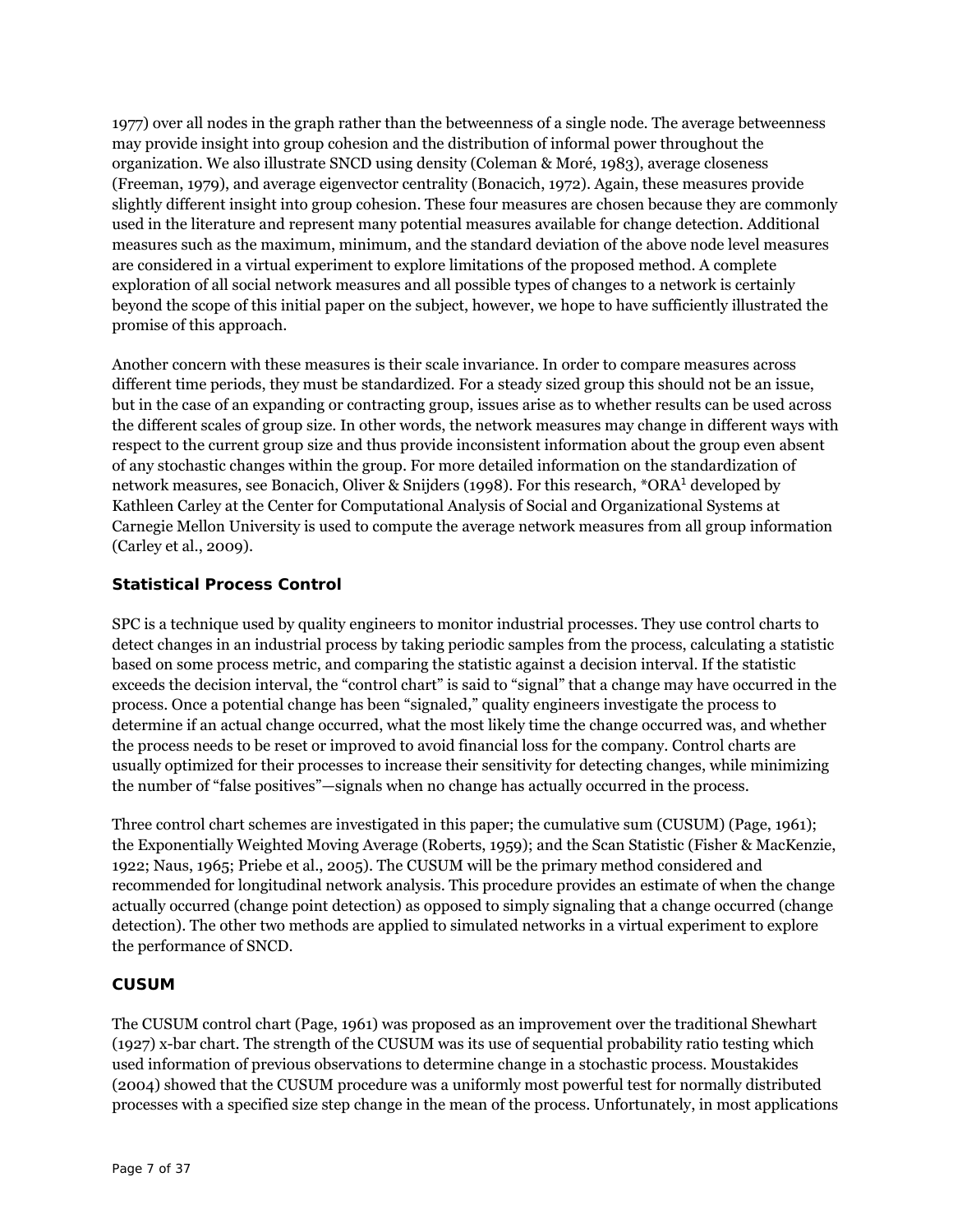1977) over all nodes in the graph rather than the betweenness of a single node. The average betweenness may provide insight into group cohesion and the distribution of informal power throughout the organization. We also illustrate SNCD using density (Coleman & Moré, 1983), average closeness (Freeman, 1979), and average eigenvector centrality (Bonacich, 1972). Again, these measures provide slightly different insight into group cohesion. These four measures are chosen because they are commonly used in the literature and represent many potential measures available for change detection. Additional measures such as the maximum, minimum, and the standard deviation of the above node level measures are considered in a virtual experiment to explore limitations of the proposed method. A complete exploration of all social network measures and all possible types of changes to a network is certainly beyond the scope of this initial paper on the subject, however, we hope to have sufficiently illustrated the promise of this approach.

Another concern with these measures is their scale invariance. In order to compare measures across different time periods, they must be standardized. For a steady sized group this should not be an issue, but in the case of an expanding or contracting group, issues arise as to whether results can be used across the different scales of group size. In other words, the network measures may change in different ways with respect to the current group size and thus provide inconsistent information about the group even absent of any stochastic changes within the group. For more detailed information on the standardization of network measures, see Bonacich, Oliver & Snijders (1998). For this research, \*ORA<sup>1</sup> developed by Kathleen Carley at the Center for Computational Analysis of Social and Organizational Systems at Carnegie Mellon University is used to compute the average network measures from all group information (Carley et al., 2009).

## **Statistical Process Control**

SPC is a technique used by quality engineers to monitor industrial processes. They use control charts to detect changes in an industrial process by taking periodic samples from the process, calculating a statistic based on some process metric, and comparing the statistic against a decision interval. If the statistic exceeds the decision interval, the "control chart" is said to "signal" that a change may have occurred in the process. Once a potential change has been "signaled," quality engineers investigate the process to determine if an actual change occurred, what the most likely time the change occurred was, and whether the process needs to be reset or improved to avoid financial loss for the company. Control charts are usually optimized for their processes to increase their sensitivity for detecting changes, while minimizing the number of "false positives"—signals when no change has actually occurred in the process.

Three control chart schemes are investigated in this paper; the cumulative sum (CUSUM) (Page, 1961); the Exponentially Weighted Moving Average (Roberts, 1959); and the Scan Statistic (Fisher & MacKenzie, 1922; Naus, 1965; Priebe et al., 2005). The CUSUM will be the primary method considered and recommended for longitudinal network analysis. This procedure provides an estimate of when the change actually occurred (change point detection) as opposed to simply signaling that a change occurred (change detection). The other two methods are applied to simulated networks in a virtual experiment to explore the performance of SNCD.

## *CUSUM*

The CUSUM control chart (Page, 1961) was proposed as an improvement over the traditional Shewhart (1927) x-bar chart. The strength of the CUSUM was its use of sequential probability ratio testing which used information of previous observations to determine change in a stochastic process. Moustakides (2004) showed that the CUSUM procedure was a uniformly most powerful test for normally distributed processes with a specified size step change in the mean of the process. Unfortunately, in most applications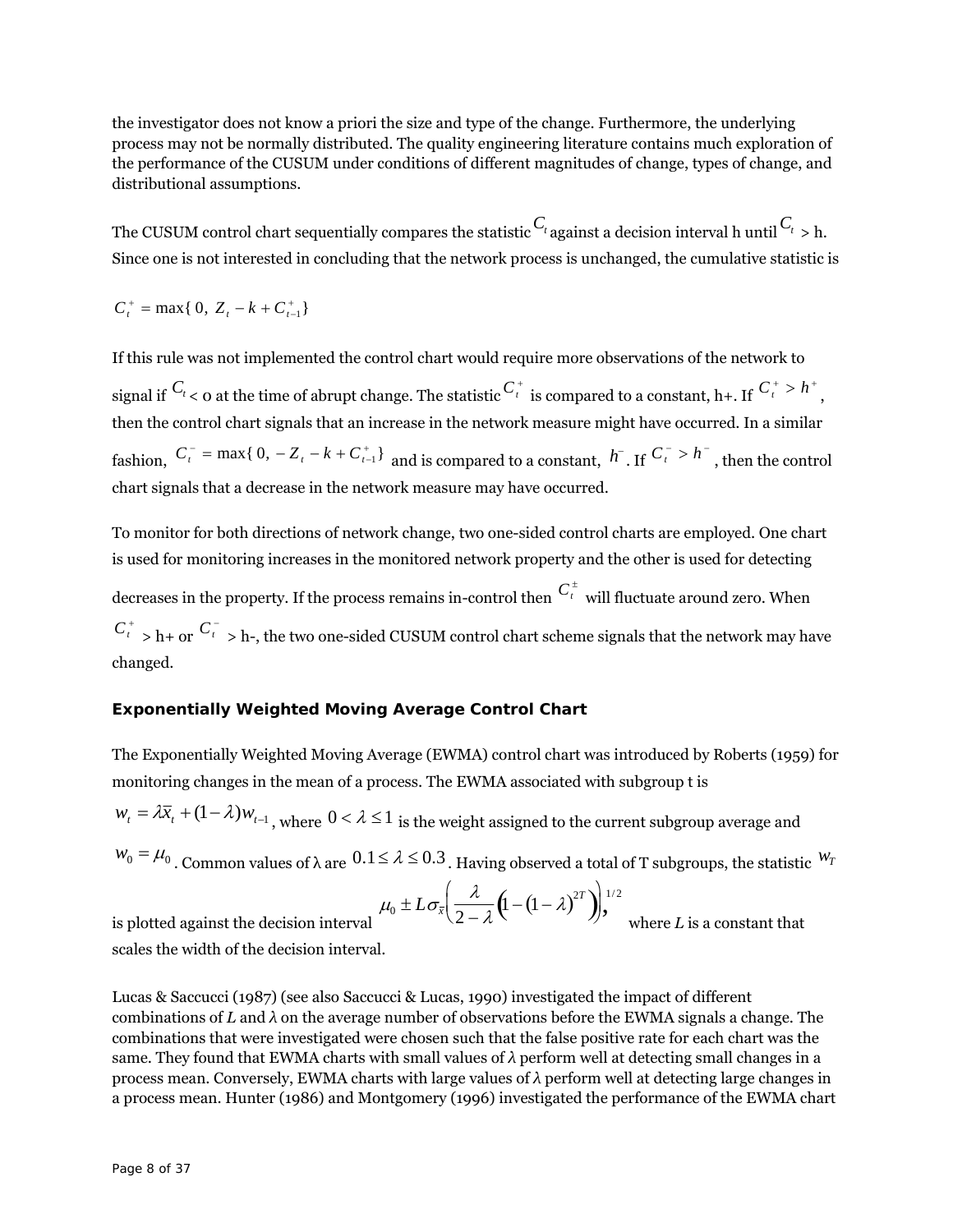the investigator does not know a priori the size and type of the change. Furthermore, the underlying process may not be normally distributed. The quality engineering literature contains much exploration of the performance of the CUSUM under conditions of different magnitudes of change, types of change, and distributional assumptions.

The CUSUM control chart sequentially compares the statistic  ${}^{C_{t}}$  against a decision interval h until  ${}^{C_{t}}$  > h. Since one is not interested in concluding that the network process is unchanged, the cumulative statistic is

 $C_t^+$  = max{ 0,  $Z_t - k + C_{t-1}^+$ }

If this rule was not implemented the control chart would require more observations of the network to signal if  $C_t$  < 0 at the time of abrupt change. The statistic  $C_t^+$  is compared to a constant, h+. If  $C_t^+ > h^+$ , then the control chart signals that an increase in the network measure might have occurred. In a similar fashion,  $C_t^-$  = max{  $0, -Z_t - k + C_{t-1}^+$ } and is compared to a constant,  $h^-$ . If  $C_t^- > h^-$ , then the control chart signals that a decrease in the network measure may have occurred.

To monitor for both directions of network change, two one-sided control charts are employed. One chart is used for monitoring increases in the monitored network property and the other is used for detecting decreases in the property. If the process remains in-control then  $\overline{C}^{\pm}_{t}$  will fluctuate around zero. When  $C_t^+$  > h+ or  $C_t^-$  > h-, the two one-sided CUSUM control chart scheme signals that the network may have changed.

## *Exponentially Weighted Moving Average Control Chart*

The Exponentially Weighted Moving Average (EWMA) control chart was introduced by Roberts (1959) for monitoring changes in the mean of a process. The EWMA associated with subgroup t is

 $w_t = \lambda \overline{x}_t + (1 - \lambda) w_{t-1}$ , where  $0 < \lambda \leq 1$  is the weight assigned to the current subgroup average and

 $w_0 = \mu_0$ . Common values of  $\lambda$  are  $0.1 \le \lambda \le 0.3$ . Having observed a total of T subgroups, the statistic  $w_T$ 

$$
\mu_0 \pm L \sigma_{\bar{x}} \bigg( \frac{\lambda}{2-\lambda} \big( \mathbf{1} - (1-\lambda)^{2T} \big) \bigg)^{1/2},
$$

where  $L$  is a constant that

is plotted against the decision interval scales the width of the decision interval.

Lucas & Saccucci (1987) (see also Saccucci & Lucas, 1990) investigated the impact of different combinations of *L* and *λ* on the average number of observations before the EWMA signals a change. The combinations that were investigated were chosen such that the false positive rate for each chart was the same. They found that EWMA charts with small values of *λ* perform well at detecting small changes in a process mean. Conversely, EWMA charts with large values of *λ* perform well at detecting large changes in a process mean. Hunter (1986) and Montgomery (1996) investigated the performance of the EWMA chart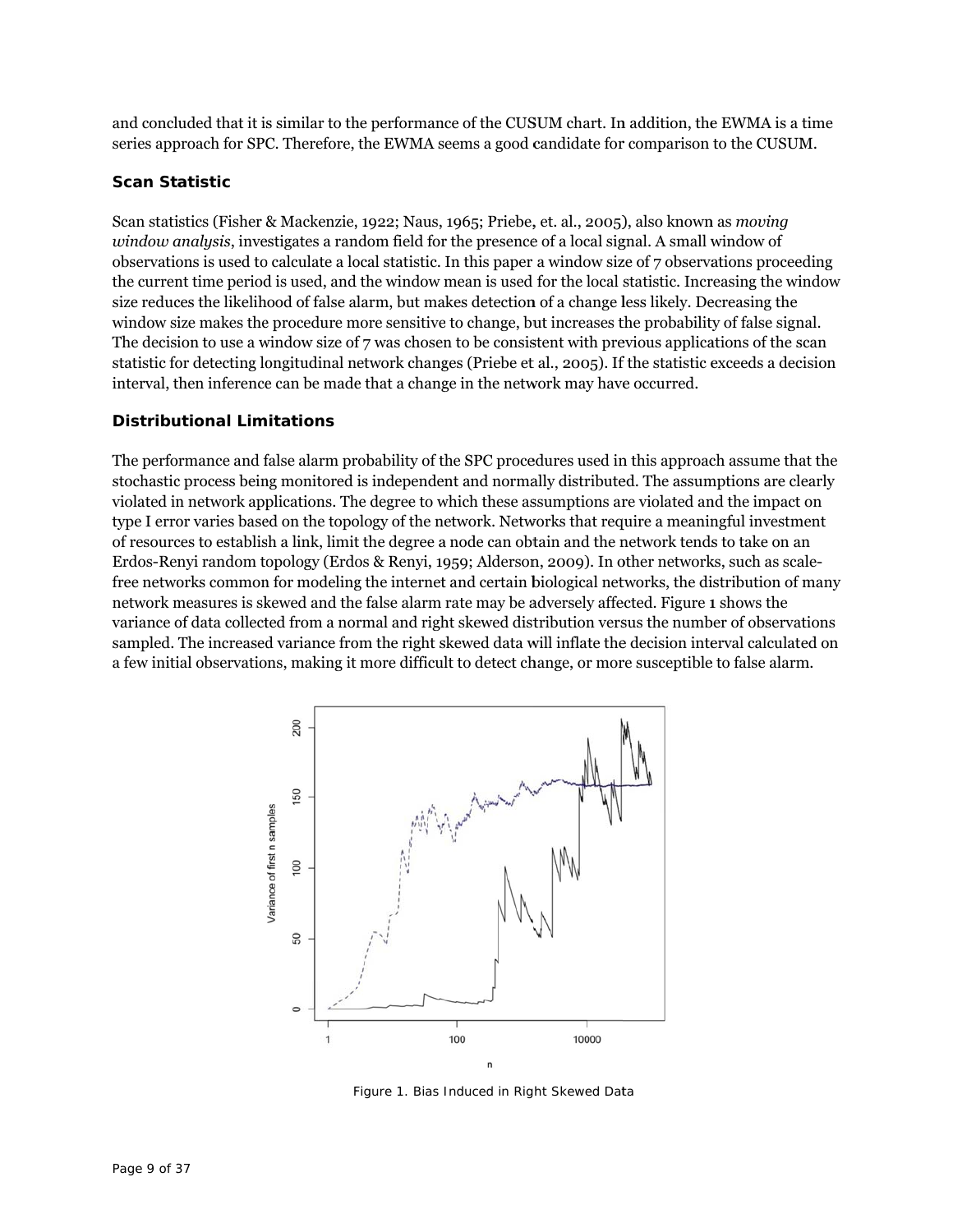and concluded that it is similar to the performance of the CUSUM chart. In addition, the EWMA is a time series approach for SPC. Therefore, the EWMA seems a good candidate for comparison to the CUSUM.

#### **Scan Statistic**

Scan statistics (Fisher & Mackenzie, 1922; Naus, 1965; Priebe, et. al., 2005), also known as *moving* window analysis, investigates a random field for the presence of a local signal. A small window of observations is used to calculate a local statistic. In this paper a window size of 7 observations proceeding the current time period is used, and the window mean is used for the local statistic. Increasing the window size reduces the likelihood of false alarm, but makes detection of a change less likely. Decreasing the window size makes the procedure more sensitive to change, but increases the probability of false signal. The decision to use a window size of 7 was chosen to be consistent with previous applications of the scan statistic for detecting longitudinal network changes (Priebe et al., 2005). If the statistic exceeds a decision interval, then inference can be made that a change in the network may have occurred.

#### **Distributional Limitations**

The performance and false alarm probability of the SPC procedures used in this approach assume that the stochastic process being monitored is independent and normally distributed. The assumptions are clearly violated in network applications. The degree to which these assumptions are violated and the impact on type I error varies based on the topology of the network. Networks that require a meaningful investment of resources to establish a link, limit the degree a node can obtain and the network tends to take on an Erdos-Renyi random topology (Erdos & Renyi, 1959; Alderson, 2009). In other networks, such as scalefree networks common for modeling the internet and certain biological networks, the distribution of many network measures is skewed and the false alarm rate may be adversely affected. Figure 1 shows the variance of data collected from a normal and right skewed distribution versus the number of observations sampled. The increased variance from the right skewed data will inflate the decision interval calculated on a few initial observations, making it more difficult to detect change, or more susceptible to false alarm.



Figure 1. Bias Induced in Right Skewed Data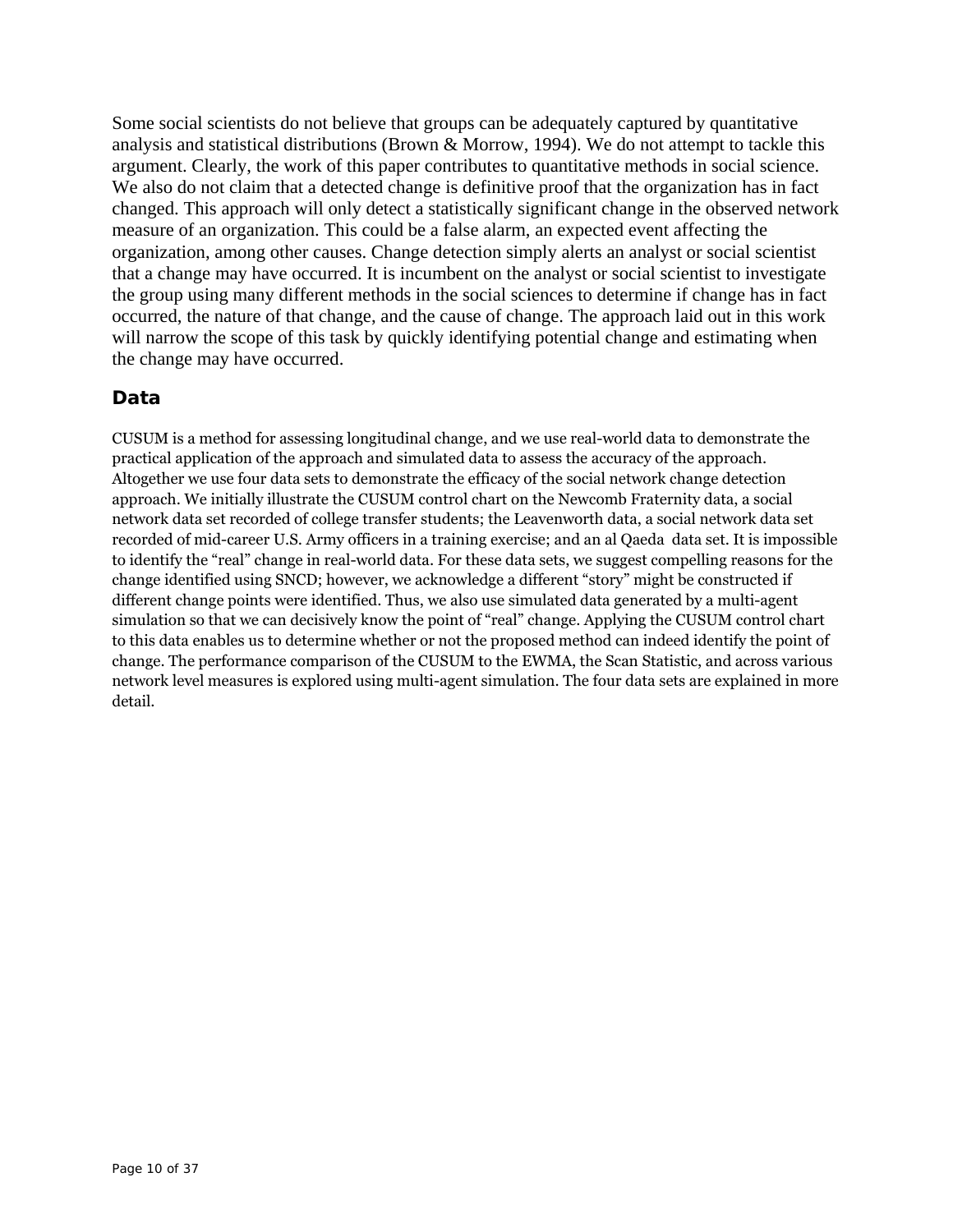Some social scientists do not believe that groups can be adequately captured by quantitative analysis and statistical distributions (Brown & Morrow, 1994). We do not attempt to tackle this argument. Clearly, the work of this paper contributes to quantitative methods in social science. We also do not claim that a detected change is definitive proof that the organization has in fact changed. This approach will only detect a statistically significant change in the observed network measure of an organization. This could be a false alarm, an expected event affecting the organization, among other causes. Change detection simply alerts an analyst or social scientist that a change may have occurred. It is incumbent on the analyst or social scientist to investigate the group using many different methods in the social sciences to determine if change has in fact occurred, the nature of that change, and the cause of change. The approach laid out in this work will narrow the scope of this task by quickly identifying potential change and estimating when the change may have occurred.

# **Data**

CUSUM is a method for assessing longitudinal change, and we use real-world data to demonstrate the practical application of the approach and simulated data to assess the accuracy of the approach. Altogether we use four data sets to demonstrate the efficacy of the social network change detection approach. We initially illustrate the CUSUM control chart on the Newcomb Fraternity data, a social network data set recorded of college transfer students; the Leavenworth data, a social network data set recorded of mid-career U.S. Army officers in a training exercise; and an al Qaeda data set. It is impossible to identify the "real" change in real-world data. For these data sets, we suggest compelling reasons for the change identified using SNCD; however, we acknowledge a different "story" might be constructed if different change points were identified. Thus, we also use simulated data generated by a multi-agent simulation so that we can decisively know the point of "real" change. Applying the CUSUM control chart to this data enables us to determine whether or not the proposed method can indeed identify the point of change. The performance comparison of the CUSUM to the EWMA, the Scan Statistic, and across various network level measures is explored using multi-agent simulation. The four data sets are explained in more detail.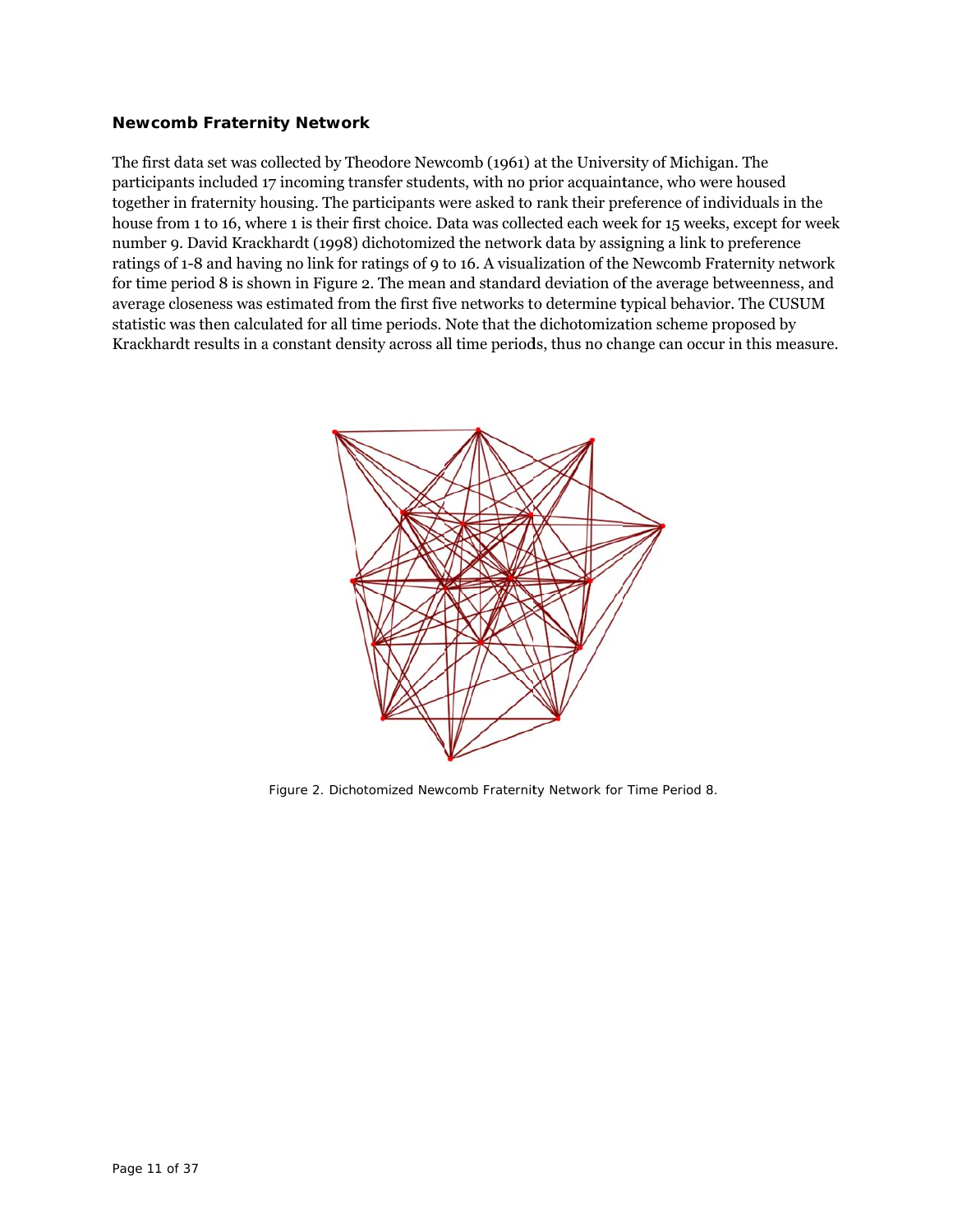#### **Newcomb Fraternity Network**

The first data set was collected by Theodore Newcomb (1961) at the University of Michigan. The participants included 17 incoming transfer students, with no prior acquaintance, who were housed together in fraternity housing. The participants were asked to rank their preference of individuals in the house from 1 to 16, where 1 is their first choice. Data was collected each week for 15 weeks, except for week number 9. David Krackhardt (1998) dichotomized the network data by assigning a link to preference ratings of 1-8 and having no link for ratings of 9 to 16. A visualization of the Newcomb Fraternity network for time period 8 is shown in Figure 2. The mean and standard deviation of the average betweenness, and average closeness was estimated from the first five networks to determine typical behavior. The CUSUM statistic was then calculated for all time periods. Note that the dichotomization scheme proposed by Krackhardt results in a constant density across all time periods, thus no change can occur in this measure.



Figure 2. Dichotomized Newcomb Fraternity Network for Time Period 8.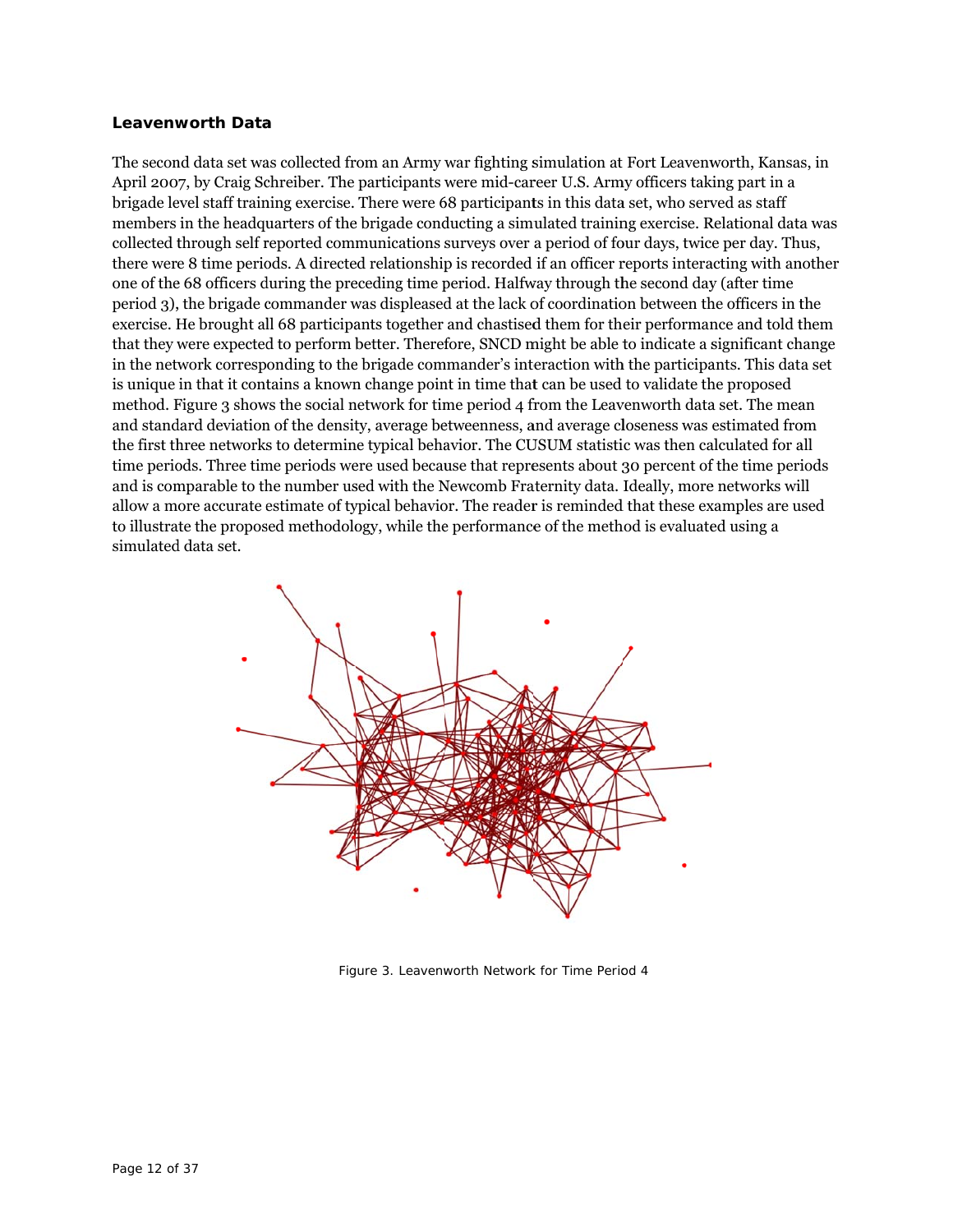#### **Leavenw worth Data a**

The second data set was collected from an Army war fighting simulation at Fort Leavenworth, Kansas, in April 2007, by Craig Schreiber. The participants were mid-career U.S. Army officers taking part in a brigade level staff training exercise. There were 68 participants in this data set, who served as staff members in the headquarters of the brigade conducting a simulated training exercise. Relational data was collected through self reported communications surveys over a period of four days, twice per day. Thus, there were 8 time periods. A directed relationship is recorded if an officer reports interacting with another one of the 68 officers during the preceding time period. Halfway through the second day (after time period 3), the brigade commander was displeased at the lack of coordination between the officers in the exercise. He brought all 68 participants together and chastised them for their performance and told them that they were expected to perform better. Therefore, SNCD might be able to indicate a significant change in the network corresponding to the brigade commander's interaction with the participants. This data set is unique in that it contains a known change point in time that can be used to validate the proposed method. Figure 3 shows the social network for time period 4 from the Leavenworth data set. The mean and standard deviation of the density, average betweenness, and average closeness was estimated from the first three networks to determine typical behavior. The CUSUM statistic was then calculated for all time periods. Three time periods were used because that represents about 30 percent of the time periods and is comparable to the number used with the Newcomb Fraternity data. Ideally, more networks will allow a more accurate estimate of typical behavior. The reader is reminded that these examples are used to illustrate the proposed methodology, while the performance of the method is evaluated using a simulated d data set.



Figure 3. Leavenworth Network for Time Period 4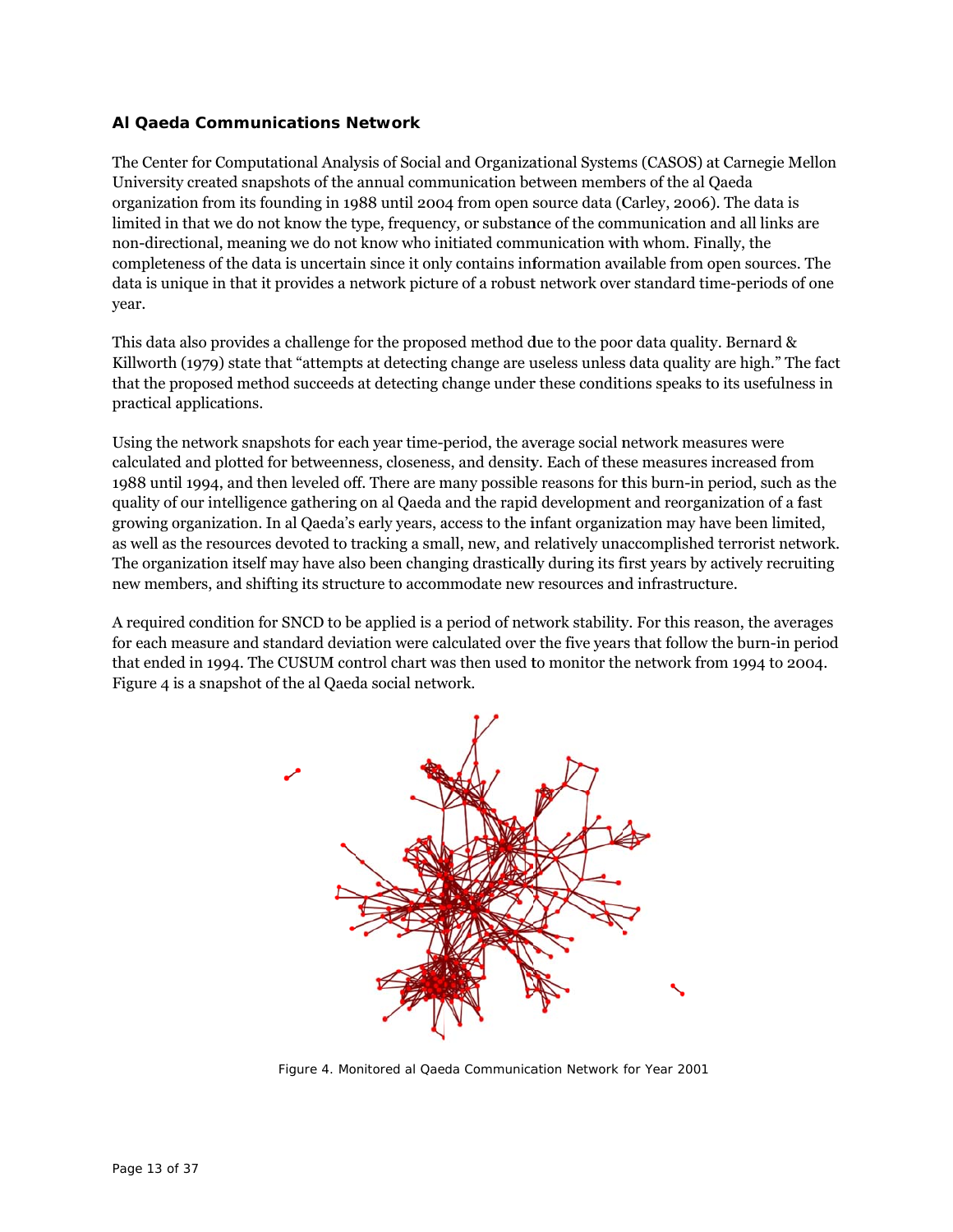## **AI Qaeda Communications Network**

The Center for Computational Analysis of Social and Organizational Systems (CASOS) at Carnegie Mellon University created snapshots of the annual communication between members of the al Qaeda organization from its founding in 1988 until 2004 from open source data (Carley, 2006). The data is limited in that we do not know the type, frequency, or substance of the communication and all links are non-directional, meaning we do not know who initiated communication with whom. Finally, the completeness of the data is uncertain since it only contains information available from open sources. The data is unique in that it provides a network picture of a robust network over standard time-periods of one year.

This data also provides a challenge for the proposed method due to the poor data quality. Bernard & Killworth (1979) state that "attempts at detecting change are useless unless data quality are high." The fact that the proposed method succeeds at detecting change under these conditions speaks to its usefulness in practical a applications.

Using the network snapshots for each year time-period, the average social network measures were calculated and plotted for betweenness, closeness, and density. Each of these measures increased from 1988 until 1994, and then leveled off. There are many possible reasons for this burn-in period, such as the quality of our intelligence gathering on al Qaeda and the rapid development and reorganization of a fast growing organization. In al Qaeda's early years, access to the infant organization may have been limited, as well as the resources devoted to tracking a small, new, and relatively unaccomplished terrorist network. The organization itself may have also been changing drastically during its first years by actively recruiting new members, and shifting its structure to accommodate new resources and infrastructure.

A required condition for SNCD to be applied is a period of network stability. For this reason, the averages for each measure and standard deviation were calculated over the five years that follow the burn-in period that ended in 1994. The CUSUM control chart was then used to monitor the network from 1994 to 2004. Figure 4 is a snapshot of the al Qaeda social network.



Figure 4. Monitored al Qaeda Communication Network for Year 2001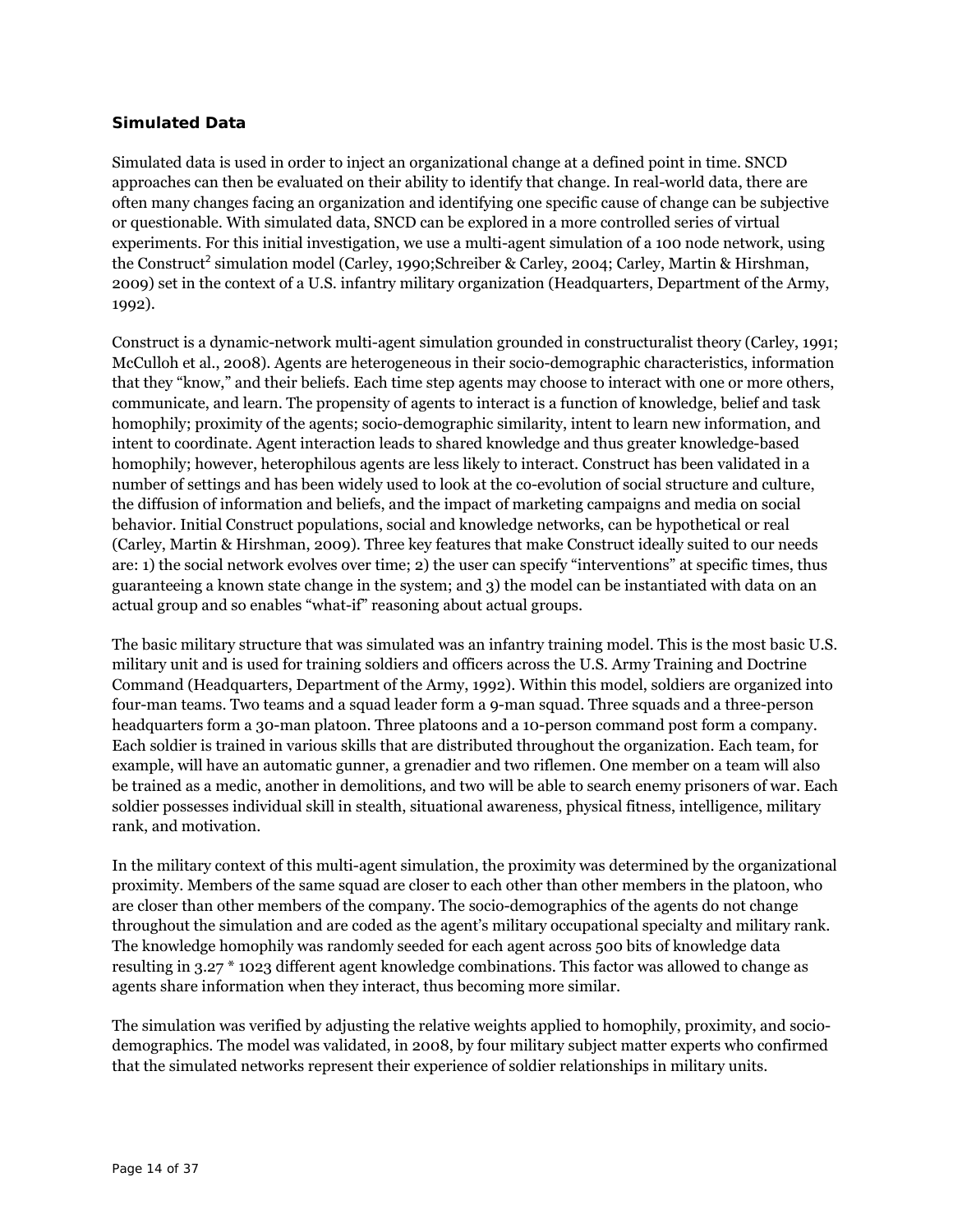## **Simulated Data**

Simulated data is used in order to inject an organizational change at a defined point in time. SNCD approaches can then be evaluated on their ability to identify that change. In real-world data, there are often many changes facing an organization and identifying one specific cause of change can be subjective or questionable. With simulated data, SNCD can be explored in a more controlled series of virtual experiments. For this initial investigation, we use a multi-agent simulation of a 100 node network, using the Construct<sup>2</sup> simulation model (Carley, 1990;Schreiber & Carley, 2004; Carley, Martin & Hirshman, 2009) set in the context of a U.S. infantry military organization (Headquarters, Department of the Army, 1992).

Construct is a dynamic-network multi-agent simulation grounded in constructuralist theory (Carley, 1991; McCulloh et al., 2008). Agents are heterogeneous in their socio-demographic characteristics, information that they "know," and their beliefs. Each time step agents may choose to interact with one or more others, communicate, and learn. The propensity of agents to interact is a function of knowledge, belief and task homophily; proximity of the agents; socio-demographic similarity, intent to learn new information, and intent to coordinate. Agent interaction leads to shared knowledge and thus greater knowledge-based homophily; however, heterophilous agents are less likely to interact. Construct has been validated in a number of settings and has been widely used to look at the co-evolution of social structure and culture, the diffusion of information and beliefs, and the impact of marketing campaigns and media on social behavior. Initial Construct populations, social and knowledge networks, can be hypothetical or real (Carley, Martin & Hirshman, 2009). Three key features that make Construct ideally suited to our needs are: 1) the social network evolves over time; 2) the user can specify "interventions" at specific times, thus guaranteeing a known state change in the system; and 3) the model can be instantiated with data on an actual group and so enables "what-if" reasoning about actual groups.

The basic military structure that was simulated was an infantry training model. This is the most basic U.S. military unit and is used for training soldiers and officers across the U.S. Army Training and Doctrine Command (Headquarters, Department of the Army, 1992). Within this model, soldiers are organized into four-man teams. Two teams and a squad leader form a 9-man squad. Three squads and a three-person headquarters form a 30-man platoon. Three platoons and a 10-person command post form a company. Each soldier is trained in various skills that are distributed throughout the organization. Each team, for example, will have an automatic gunner, a grenadier and two riflemen. One member on a team will also be trained as a medic, another in demolitions, and two will be able to search enemy prisoners of war. Each soldier possesses individual skill in stealth, situational awareness, physical fitness, intelligence, military rank, and motivation.

In the military context of this multi-agent simulation, the proximity was determined by the organizational proximity. Members of the same squad are closer to each other than other members in the platoon, who are closer than other members of the company. The socio-demographics of the agents do not change throughout the simulation and are coded as the agent's military occupational specialty and military rank. The knowledge homophily was randomly seeded for each agent across 500 bits of knowledge data resulting in 3.27 \* 1023 different agent knowledge combinations. This factor was allowed to change as agents share information when they interact, thus becoming more similar.

The simulation was verified by adjusting the relative weights applied to homophily, proximity, and sociodemographics. The model was validated, in 2008, by four military subject matter experts who confirmed that the simulated networks represent their experience of soldier relationships in military units.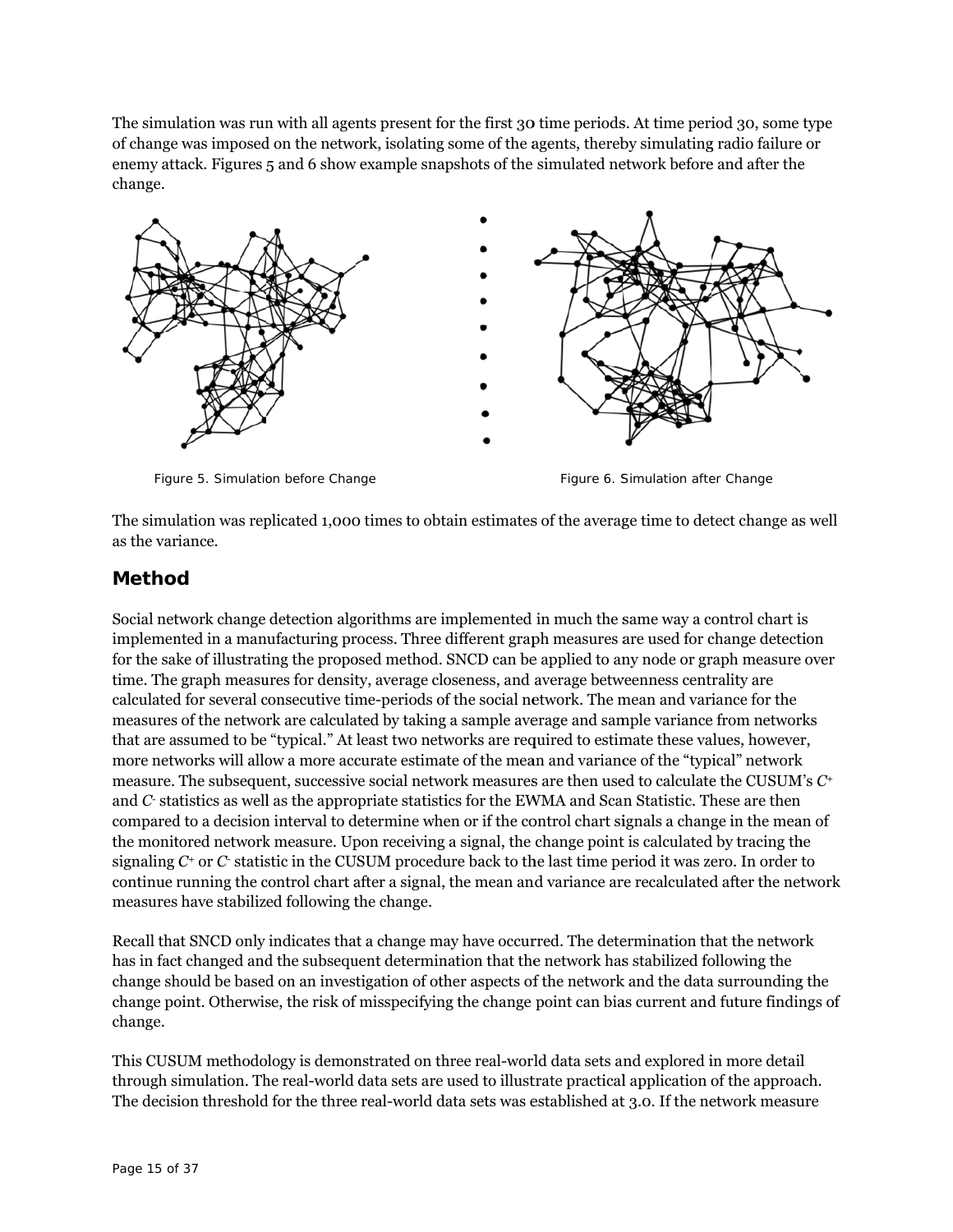The simulation was run with all agents present for the first 30 time periods. At time period 30, some type of change was imposed on the network, isolating some of the agents, thereby simulating radio failure or enemy attack. Figures 5 and 6 show example snapshots of the simulated network before and after the change.



Figure 5. Simulation before Change

Figure 6. Simulation after Change

The simulation was replicated 1,000 times to obtain estimates of the average time to detect change as well as the variance.

# **Method d**

Social network change detection algorithms are implemented in much the same way a control chart is implemented in a manufacturing process. Three different graph measures are used for change detection for the sake of illustrating the proposed method. SNCD can be applied to any node or graph measure over time. The graph measures for density, average closeness, and average betweenness centrality are calculated for several consecutive time-periods of the social network. The mean and variance for the measures of the network are calculated by taking a sample average and sample variance from networks that are assumed to be "typical." At least two networks are required to estimate these values, however, more networks will allow a more accurate estimate of the mean and variance of the "typical" network more networks will allow a more accurate estimate of the mean and variance of the "typical" network<br>measure. The subsequent, successive social network measures are then used to calculate the CUSUM's *C*+ and  $C$  statistics as well as the appropriate statistics for the EWMA and Scan Statistic. These are then compared to a decision interval to determine when or if the control chart signals a change in the mean of the monitored network measure. Upon receiving a signal, the change point is calculated by tracing the signaling  $C^{\scriptscriptstyle +}$  or  $C^{\scriptscriptstyle -}$  statistic in the CUSUM procedure back to the last time period it was zero. In order to continue running the control chart after a signal, the mean and variance are recalculated after the network measures have stabilized following the change.

Recall that SNCD only indicates that a change may have occurred. The determination that the network has in fact changed and the subsequent determination that the network has stabilized following the change should be based on an investigation of other aspects of the network and the data surrounding the change point. Otherwise, the risk of misspecifying the change point can bias current and future findings of change.

This CUSUM methodology is demonstrated on three real-world data sets and explored in more detail through simulation. The real-world data sets are used to illustrate practical application of the approach. The decision threshold for the three real-world data sets was established at 3.0. If the network measure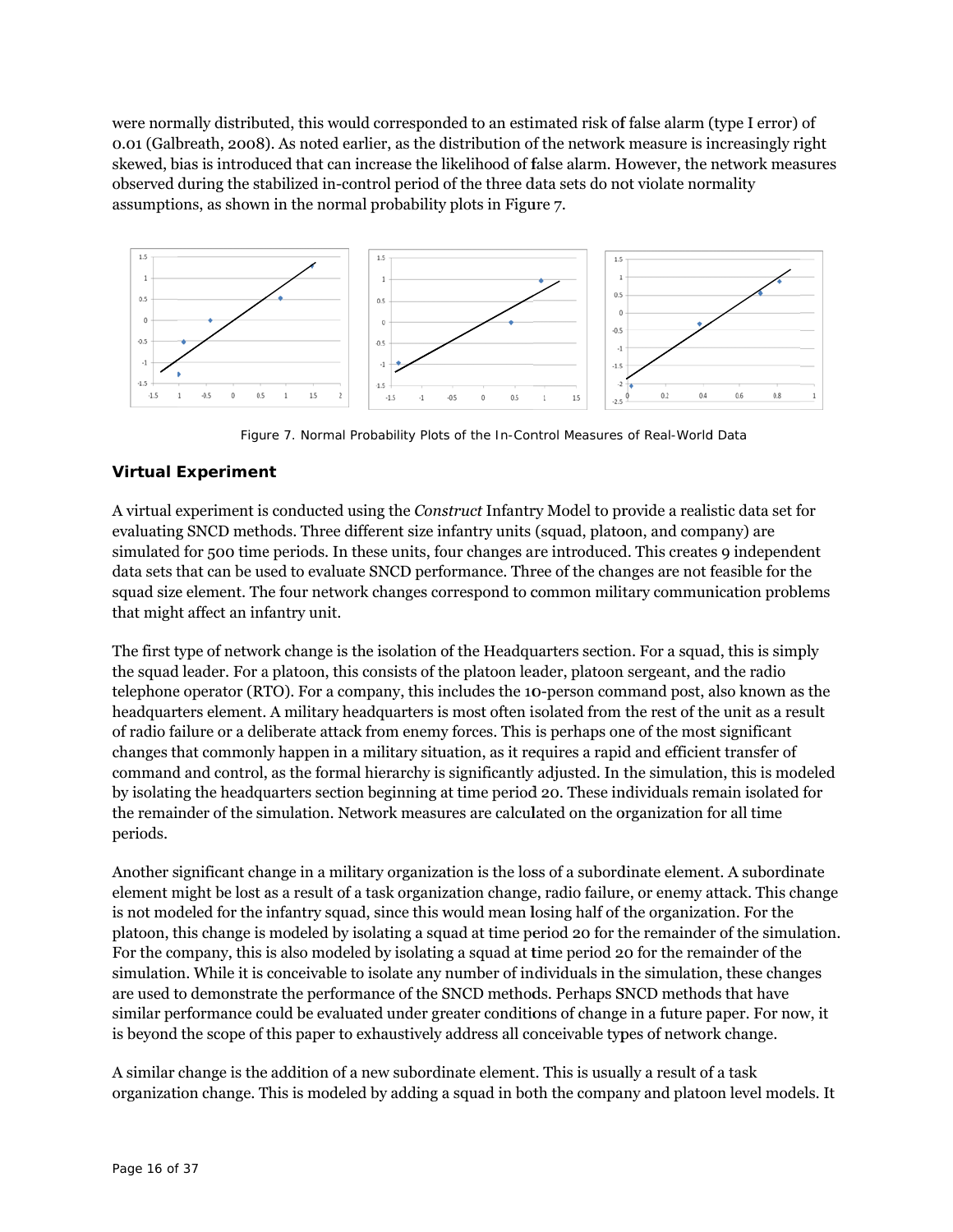were normally distributed, this would corresponded to an estimated risk of false alarm (type I error) of 0.01 (Galbreath, 2008). As noted earlier, as the distribution of the network measure is increasingly right skewed, bias is introduced that can increase the likelihood of false alarm. However, the network measures observed during the stabilized in-control period of the three data sets do not violate normality assumptions, as shown in the normal probability plots in Figure 7.



Figure 7. Normal Probability Plots of the In-Control Measures of Real-World Data

## **Virtual E Experimen nt**

A virtual experiment is conducted using the *Construct* Infantry Model to provide a realistic data set for evaluating SNCD methods. Three different size infantry units (squad, platoon, and company) are simulated for 500 time periods. In these units, four changes are introduced. This creates 9 independent data sets that can be used to evaluate SNCD performance. Three of the changes are not feasible for the squad size element. The four network changes correspond to common military communication problems that might affect an infantry unit.

The first type of network change is the isolation of the Headquarters section. For a squad, this is simply the squad leader. For a platoon, this consists of the platoon leader, platoon sergeant, and the radio telephone operator (RTO). For a company, this includes the 10-person command post, also known as the headquarters element. A military headquarters is most often isolated from the rest of the unit as a result of radio fa ailure or a del liberate attack k from enemy y forces. This is perhaps on ne of the most t significant changes that commonly happen in a military situation, as it requires a rapid and efficient transfer of command and control, as the formal hierarchy is significantly adjusted. In the simulation, this is modeled by isolating the headquarters section beginning at time period 20. These individuals remain isolated for the remainder of the simulation. Network measures are calculated on the organization for all time periods.

Another significant change in a military organization is the loss of a subordinate element. A subordinate element might be lost as a result of a task organization change, radio failure, or enemy attack. This change is not modeled for the infantry squad, since this would mean losing half of the organization. For the platoon, this change is modeled by isolating a squad at time period 20 for the remainder of the simulation. For the company, this is also modeled by isolating a squad at time period 20 for the remainder of the For the company, this is also modeled by isolating a squad at time period 20 for the remainder of the<br>simulation. While it is conceivable to isolate any number of individuals in the simulation, these changes are used to demonstrate the performance of the SNCD methods. Perhaps SNCD methods that have similar performance could be evaluated under greater conditions of change in a future paper. For now, it is beyond the scope of this paper to exhaustively address all conceivable types of network change.

A similar change is the addition of a new subordinate element. This is usually a result of a task organization change. This is modeled by adding a squad in both the company and platoon level models. It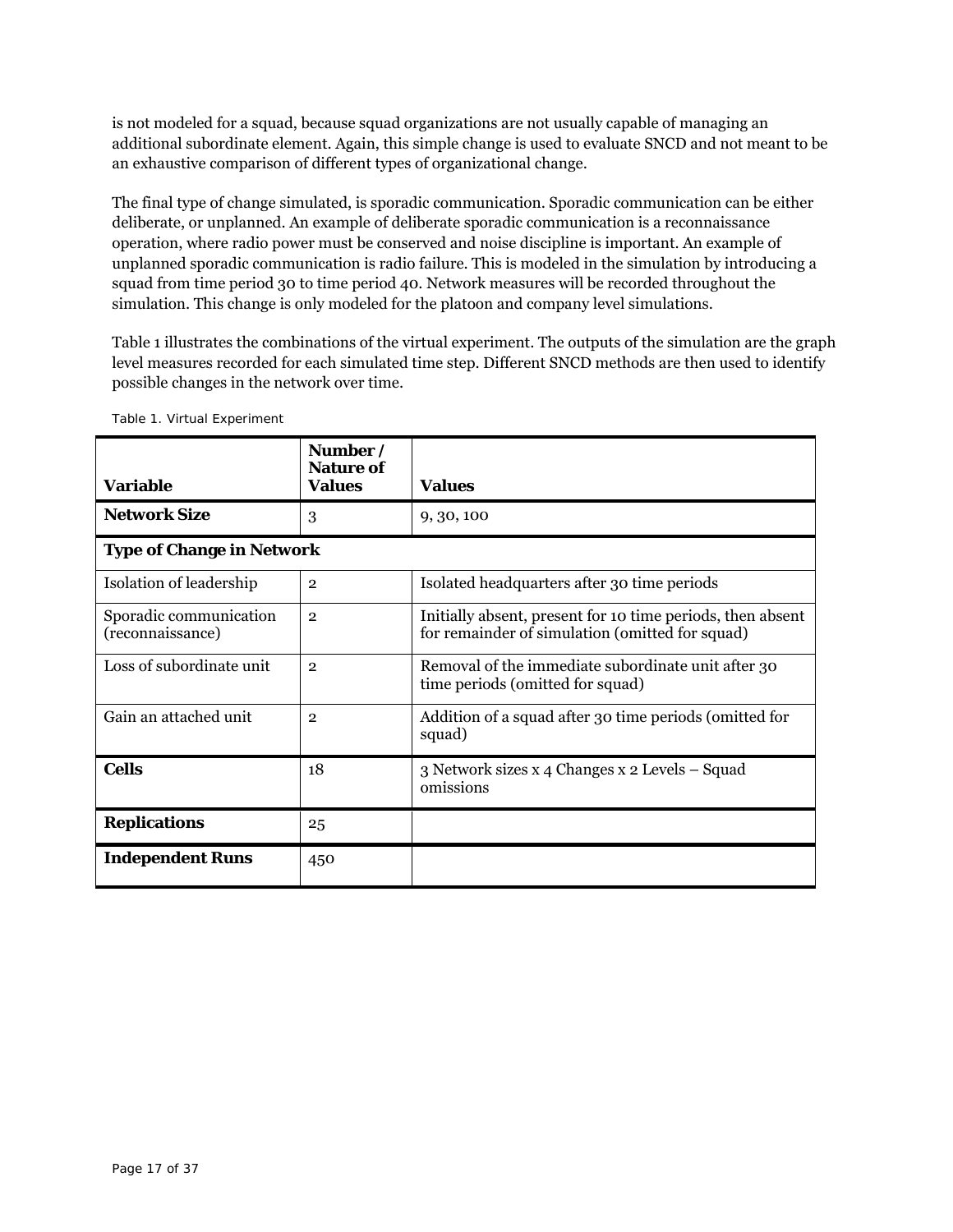is not modeled for a squad, because squad organizations are not usually capable of managing an additional subordinate element. Again, this simple change is used to evaluate SNCD and not meant to be an exhaustive comparison of different types of organizational change.

The final type of change simulated, is sporadic communication. Sporadic communication can be either deliberate, or unplanned. An example of deliberate sporadic communication is a reconnaissance operation, where radio power must be conserved and noise discipline is important. An example of unplanned sporadic communication is radio failure. This is modeled in the simulation by introducing a squad from time period 30 to time period 40. Network measures will be recorded throughout the simulation. This change is only modeled for the platoon and company level simulations.

Table 1 illustrates the combinations of the virtual experiment. The outputs of the simulation are the graph level measures recorded for each simulated time step. Different SNCD methods are then used to identify possible changes in the network over time.

| <b>Variable</b>                            | Number /<br><b>Nature of</b><br><b>Values</b> | <b>Values</b>                                                                                                 |
|--------------------------------------------|-----------------------------------------------|---------------------------------------------------------------------------------------------------------------|
| <b>Network Size</b>                        | 3                                             | 9, 30, 100                                                                                                    |
| <b>Type of Change in Network</b>           |                                               |                                                                                                               |
| Isolation of leadership                    | $\overline{2}$                                | Isolated headquarters after 30 time periods                                                                   |
| Sporadic communication<br>(reconnaissance) | $\overline{2}$                                | Initially absent, present for 10 time periods, then absent<br>for remainder of simulation (omitted for squad) |
| Loss of subordinate unit                   | $\overline{2}$                                | Removal of the immediate subordinate unit after 30<br>time periods (omitted for squad)                        |
| Gain an attached unit                      | $\overline{2}$                                | Addition of a squad after 30 time periods (omitted for<br>squad)                                              |
| <b>Cells</b>                               | 18                                            | 3 Network sizes x 4 Changes x 2 Levels – Squad<br>omissions                                                   |
| <b>Replications</b>                        | 25                                            |                                                                                                               |
| <b>Independent Runs</b>                    | 450                                           |                                                                                                               |

Table 1. Virtual Experiment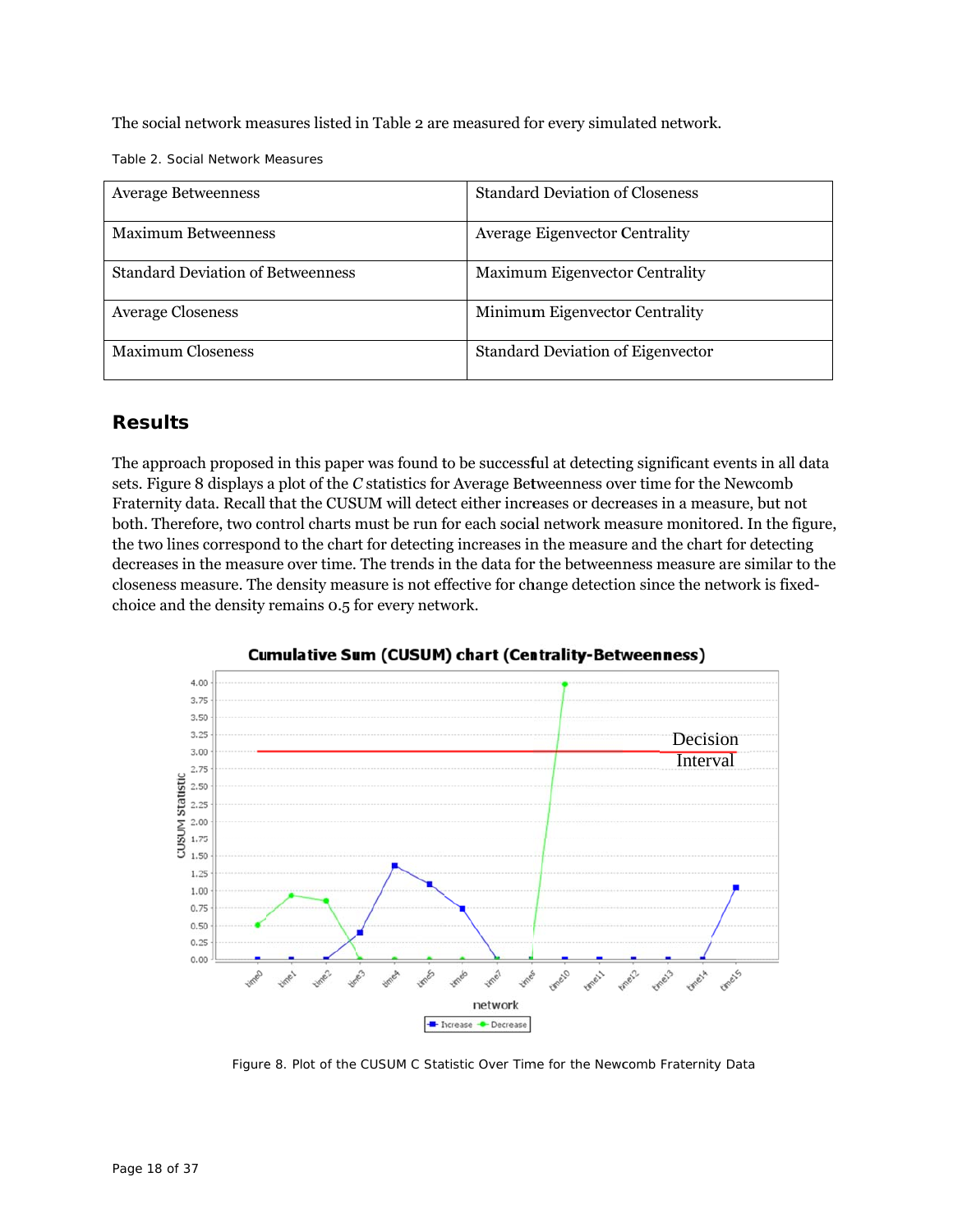The social network measures listed in Table 2 are measured for every simulated network.

Table 2. Social Network Measures

| <b>Average Betweenness</b>               | <b>Standard Deviation of Closeness</b>   |
|------------------------------------------|------------------------------------------|
| <b>Maximum Betweenness</b>               | <b>Average Eigenvector Centrality</b>    |
| <b>Standard Deviation of Betweenness</b> | <b>Maximum Eigenvector Centrality</b>    |
| <b>Average Closeness</b>                 | Minimum Eigenvector Centrality           |
| <b>Maximum Closeness</b>                 | <b>Standard Deviation of Eigenvector</b> |

# **Result s**

The approach proposed in this paper was found to be successful at detecting significant events in all data sets. Figure 8 displays a plot of the *C* statistics for Average Betweenness over time for the Newcomb Fraternity data. Recall that the CUSUM will detect either increases or decreases in a measure, but not both. Therefore, two control charts must be run for each social network measure monitored. In the figure, the two lines correspond to the chart for detecting increases in the measure and the chart for detecting decreases in the measure over time. The trends in the data for the betweenness measure are similar to the closeness measure. The density measure is not effective for change detection since the network is fixedchoice and the density remains 0.5 for every network.



**Cumulative Sum (CUSUM) chart (Centrality-Betweenness)** 

Figure 8. Plot of the CUSUM C Statistic Over Time for the Newcomb Fraternity Data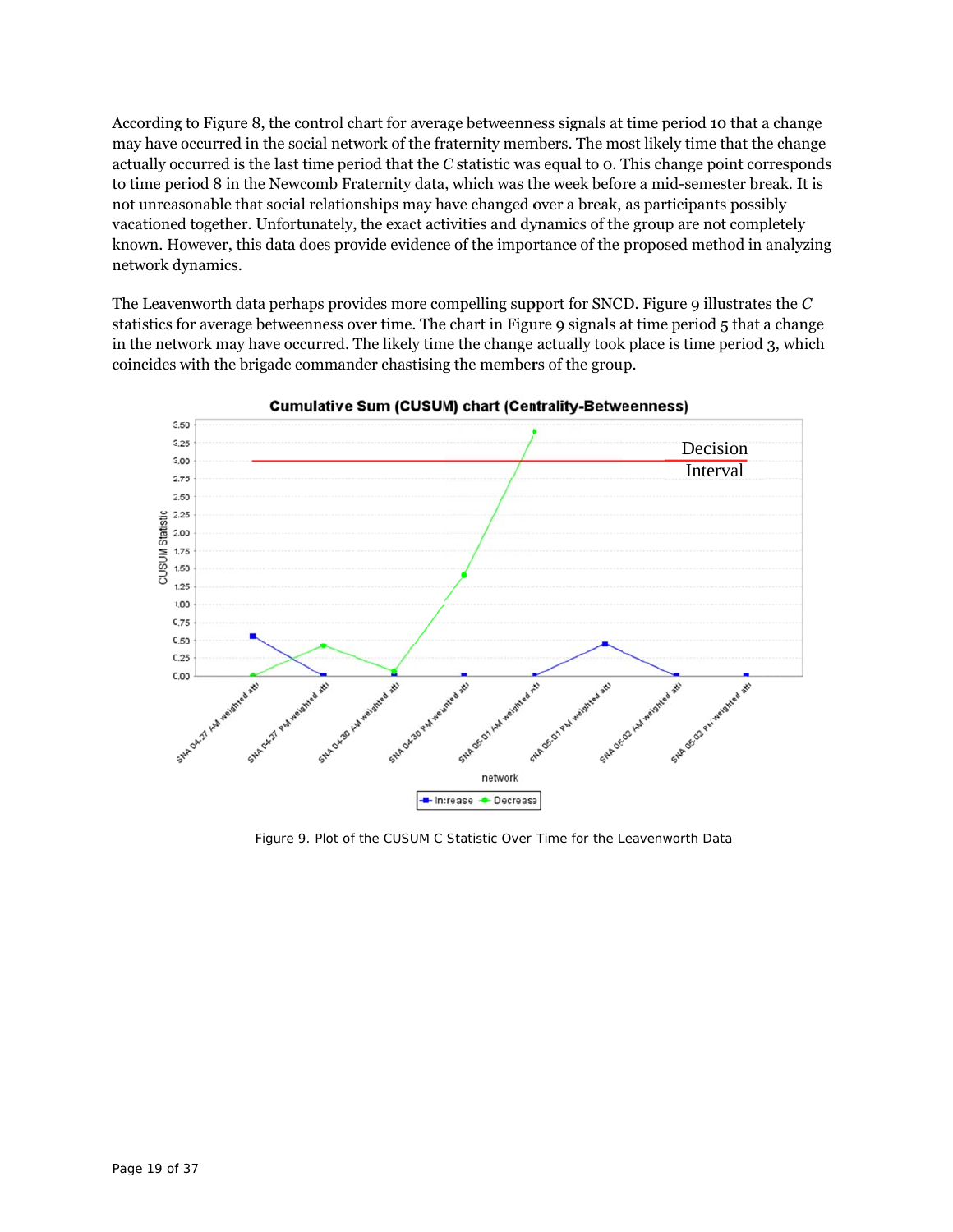According to Figure 8, the control chart for average betweenness signals at time period 10 that a change may have occurred in the social network of the fraternity members. The most likely time that the change actually occurred is the last time period that the *C* statistic was equal to o. This change point corresponds to time period 8 in the Newcomb Fraternity data, which was the week before a mid-semester break. It is not unreasonable that social relationships may have changed over a break, as participants possibly vacationed together. Unfortunately, the exact activities and dynamics of the group are not completely known. However, this data does provide evidence of the importance of the proposed method in analyzing network d dynamics.

The Leavenworth data perhaps provides more compelling support for SNCD. Figure 9 illustrates the  $C$ statistics for average betweenness over time. The chart in Figure 9 signals at time period 5 that a change in the network may have occurred. The likely time the change actually took place is time period 3, which coincides with the brigade commander chastising the members of the group.



**Cumulative Sum (CUSUM) chart (Centrality-Betweenness)** 

Figure 9. Plot of the CUSUM *C* Statistic Over Time for the Leavenworth Data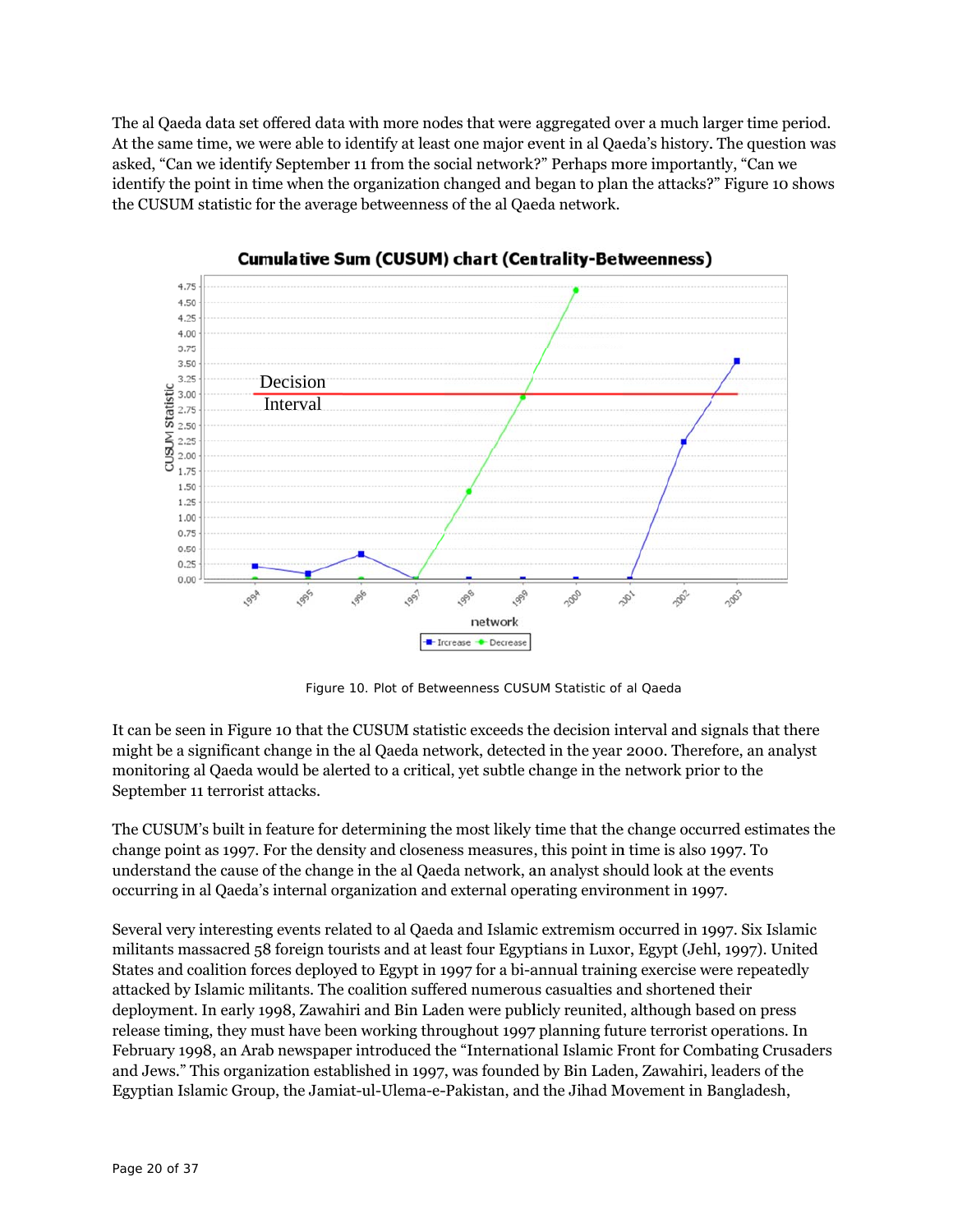The al Qaeda data set offered data with more nodes that were aggregated over a much larger time period. At the same time, we were able to identify at least one major event in al Qaeda's history. The question was asked, "Can we identify September 11 from the social network?" Perhaps more importantly, "Can we identify the point in time when the organization changed and began to plan the attacks?" Figure 10 shows the CUSUM statistic for the average betweenness of the al Qaeda network.



**Cumulative Sum (CUSUM) chart (Centrality-Betweenness)** 

Figure 10. Plot of Betweenness CUSUM Statistic of al Qaeda

It can be seen in Figure 10 that the CUSUM statistic exceeds the decision interval and signals that there might be a significant change in the al Qaeda network, detected in the year 2000. Therefore, an analyst monitoring al Qaeda would be alerted to a critical, yet subtle change in the network prior to the September 11 terrorist attacks.

The CUSUM's built in feature for determining the most likely time that the change occurred estimates the change point as 1997. For the density and closeness measures, this point in time is also 1997. To understand the cause of the change in the al Qaeda network, an analyst should look at the events occurring in al Qaeda's s internal orga anization and d external ope erating enviro onment in 199 97.

Several very interesting events related to al Qaeda and Islamic extremism occurred in 1997. Six Islamic militants massacred 58 foreign tourists and at least four Egyptians in Luxor, Egypt (Jehl, 1997). United States and coalition forces deployed to Egypt in 1997 for a bi-annual training exercise were repeatedly attacked by Islamic militants. The coalition suffered numerous casualties and shortened their deployment. In early 1998, Zawahiri and Bin Laden were publicly reunited, although based on press release timing, they must have been working throughout 1997 planning future terrorist operations. In February 1998, an Arab newspaper introduced the "International Islamic Front for Combating Crusaders and Jews." This organization established in 1997, was founded by Bin Laden, Zawahiri, leaders of the Egyptian Islamic Group, the Jamiat-ul-Ulema-e-Pakistan, and the Jihad Movement in Bangladesh,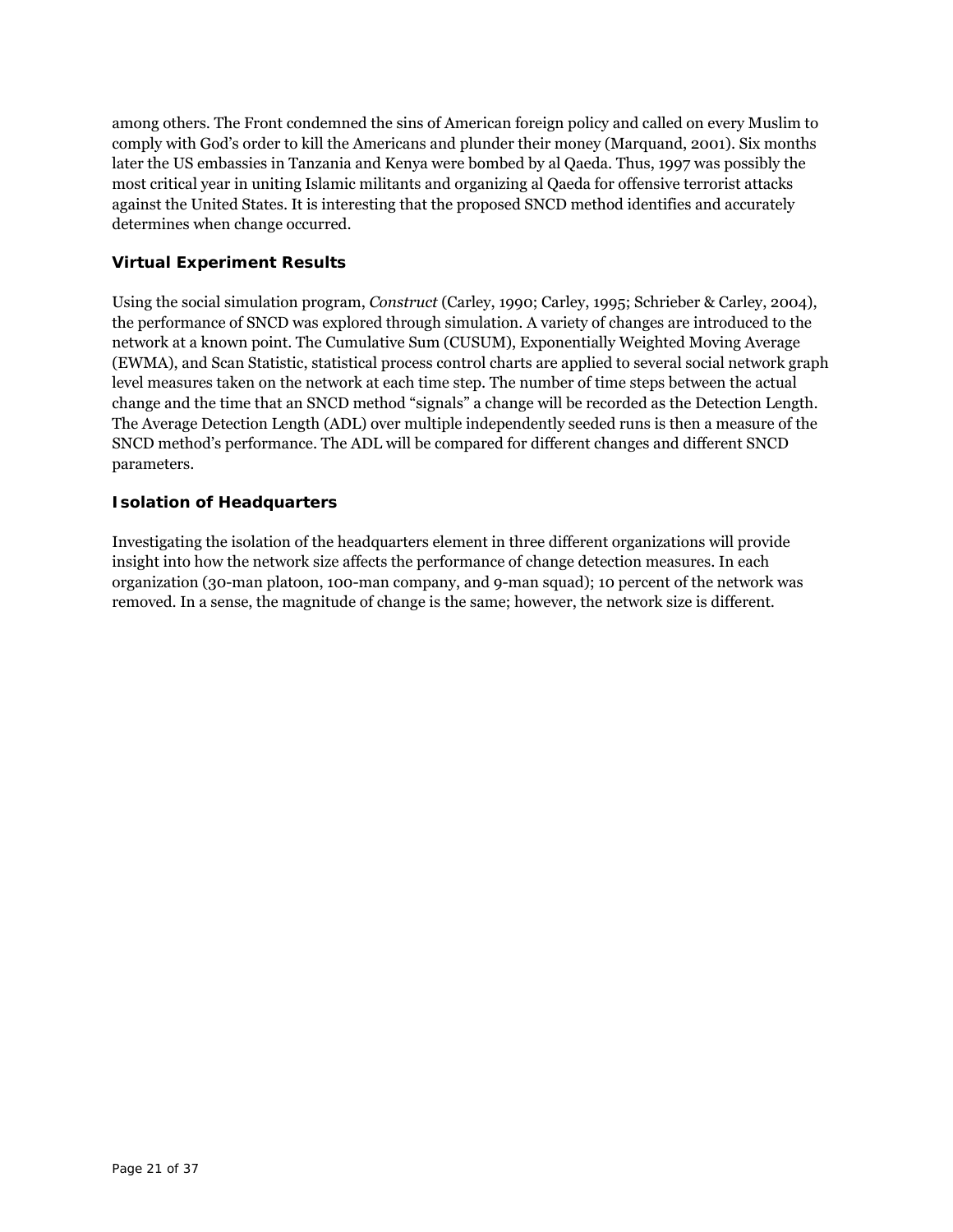among others. The Front condemned the sins of American foreign policy and called on every Muslim to comply with God's order to kill the Americans and plunder their money (Marquand, 2001). Six months later the US embassies in Tanzania and Kenya were bombed by al Qaeda. Thus, 1997 was possibly the most critical year in uniting Islamic militants and organizing al Qaeda for offensive terrorist attacks against the United States. It is interesting that the proposed SNCD method identifies and accurately determines when change occurred.

## **Virtual Experiment Results**

Using the social simulation program, *Construct* (Carley, 1990; Carley, 1995; Schrieber & Carley, 2004), the performance of SNCD was explored through simulation. A variety of changes are introduced to the network at a known point. The Cumulative Sum (CUSUM), Exponentially Weighted Moving Average (EWMA), and Scan Statistic, statistical process control charts are applied to several social network graph level measures taken on the network at each time step. The number of time steps between the actual change and the time that an SNCD method "signals" a change will be recorded as the Detection Length. The Average Detection Length (ADL) over multiple independently seeded runs is then a measure of the SNCD method's performance. The ADL will be compared for different changes and different SNCD parameters.

## **Isolation of Headquarters**

Investigating the isolation of the headquarters element in three different organizations will provide insight into how the network size affects the performance of change detection measures. In each organization (30-man platoon, 100-man company, and 9-man squad); 10 percent of the network was removed. In a sense, the magnitude of change is the same; however, the network size is different.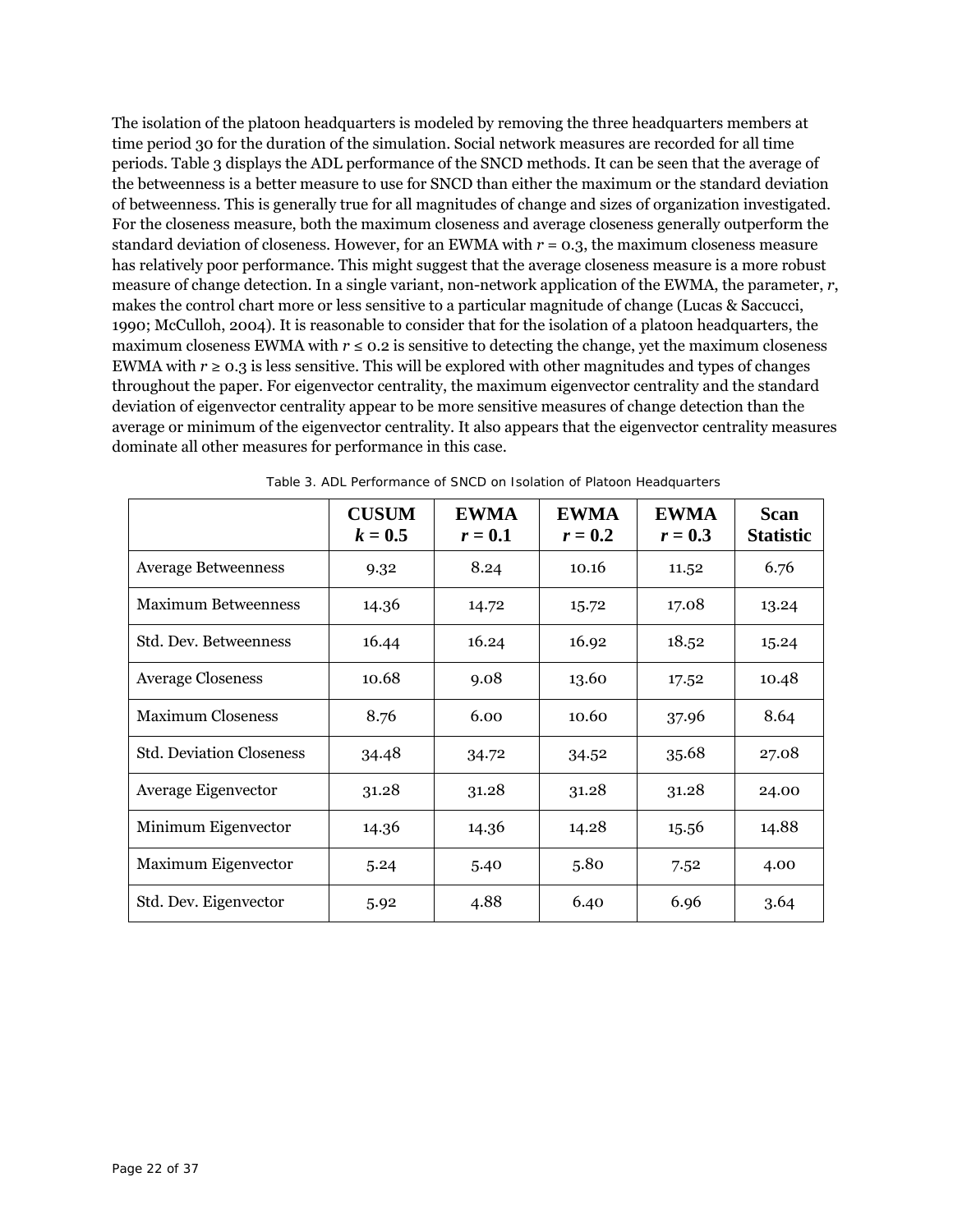The isolation of the platoon headquarters is modeled by removing the three headquarters members at time period 30 for the duration of the simulation. Social network measures are recorded for all time periods. Table 3 displays the ADL performance of the SNCD methods. It can be seen that the average of the betweenness is a better measure to use for SNCD than either the maximum or the standard deviation of betweenness. This is generally true for all magnitudes of change and sizes of organization investigated. For the closeness measure, both the maximum closeness and average closeness generally outperform the standard deviation of closeness. However, for an EWMA with  $r = 0.3$ , the maximum closeness measure has relatively poor performance. This might suggest that the average closeness measure is a more robust measure of change detection. In a single variant, non-network application of the EWMA, the parameter, *r*, makes the control chart more or less sensitive to a particular magnitude of change (Lucas & Saccucci, 1990; McCulloh, 2004). It is reasonable to consider that for the isolation of a platoon headquarters, the maximum closeness EWMA with  $r \le 0.2$  is sensitive to detecting the change, yet the maximum closeness EWMA with  $r \ge 0.3$  is less sensitive. This will be explored with other magnitudes and types of changes throughout the paper. For eigenvector centrality, the maximum eigenvector centrality and the standard deviation of eigenvector centrality appear to be more sensitive measures of change detection than the average or minimum of the eigenvector centrality. It also appears that the eigenvector centrality measures dominate all other measures for performance in this case.

|                                 | <b>CUSUM</b><br>$k=0.5$ | <b>EWMA</b><br>$r=0.1$ | <b>EWMA</b><br>$r=0.2$ | <b>EWMA</b><br>$r=0.3$ | <b>Scan</b><br><b>Statistic</b> |
|---------------------------------|-------------------------|------------------------|------------------------|------------------------|---------------------------------|
| <b>Average Betweenness</b>      | 9.32                    | 8.24                   | 10.16                  | 11.52                  | 6.76                            |
| <b>Maximum Betweenness</b>      | 14.36                   | 14.72                  | 15.72                  | 17.08                  | 13.24                           |
| Std. Dev. Betweenness           | 16.44                   | 16.24                  | 16.92                  | 18.52                  | 15.24                           |
| <b>Average Closeness</b>        | 10.68                   | 9.08                   | 13.60                  | 17.52                  | 10.48                           |
| <b>Maximum Closeness</b>        | 8.76                    | 6.00                   | 10.60                  | 37.96                  | 8.64                            |
| <b>Std. Deviation Closeness</b> | 34.48                   | 34.72                  | 34.52                  | 35.68                  | 27.08                           |
| Average Eigenvector             | 31.28                   | 31.28                  | 31.28                  | 31.28                  | 24.00                           |
| Minimum Eigenvector             | 14.36                   | 14.36                  | 14.28                  | 15.56                  | 14.88                           |
| Maximum Eigenvector             | 5.24                    | 5.40                   | 5.80                   | 7.52                   | 4.00                            |
| Std. Dev. Eigenvector           | 5.92                    | 4.88                   | 6.40                   | 6.96                   | 3.64                            |

Table 3. ADL Performance of SNCD on Isolation of Platoon Headquarters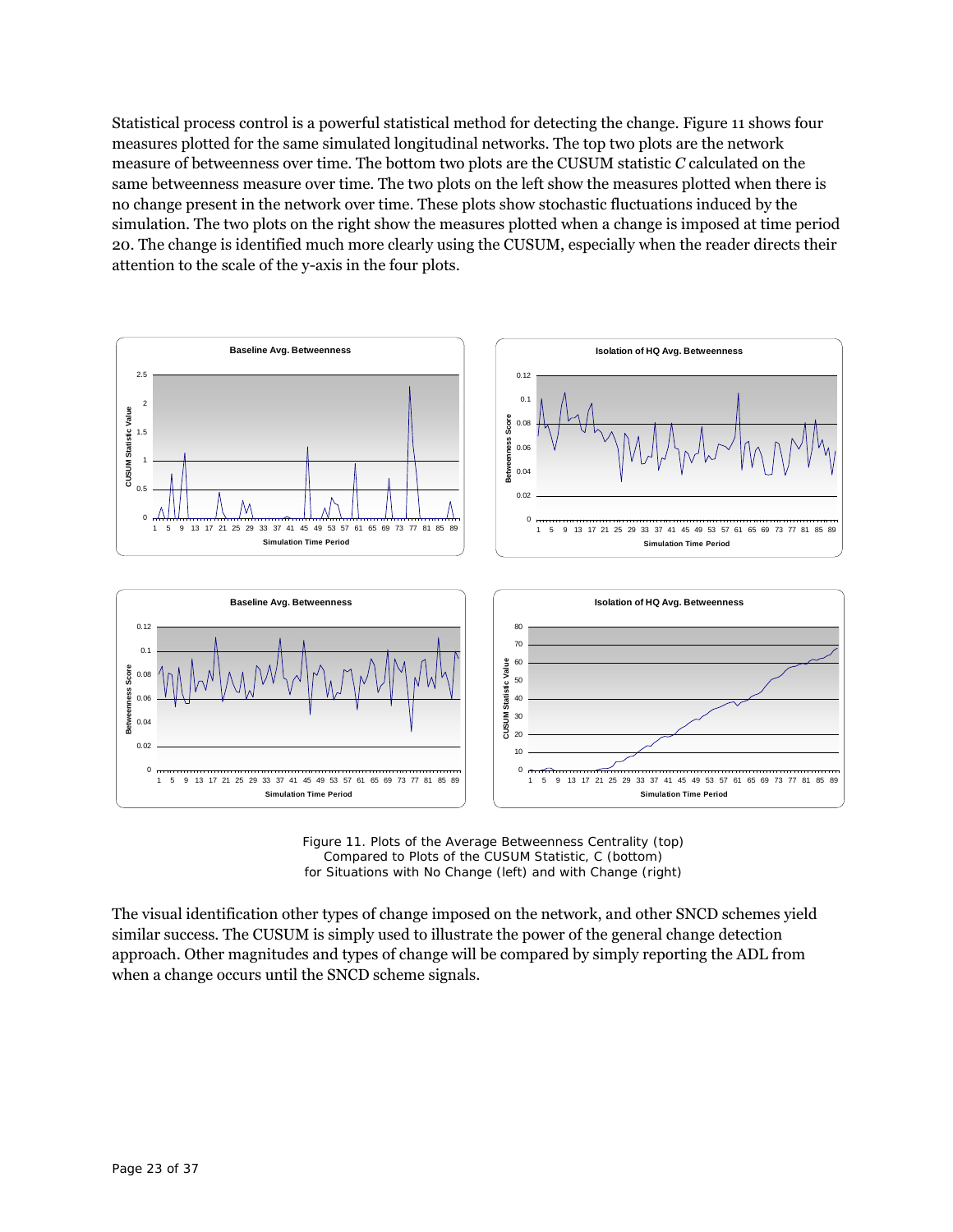Statistical process control is a powerful statistical method for detecting the change. Figure 11 shows four measures plotted for the same simulated longitudinal networks. The top two plots are the network measure of betweenness over time. The bottom two plots are the CUSUM statistic *C* calculated on the same betweenness measure over time. The two plots on the left show the measures plotted when there is no change present in the network over time. These plots show stochastic fluctuations induced by the simulation. The two plots on the right show the measures plotted when a change is imposed at time period 20. The change is identified much more clearly using the CUSUM, especially when the reader directs their attention to the scale of the y-axis in the four plots.



Figure 11. Plots of the Average Betweenness Centrality (top) Compared to Plots of the CUSUM Statistic, *C* (bottom) for Situations with No Change (left) and with Change (right)

The visual identification other types of change imposed on the network, and other SNCD schemes yield similar success. The CUSUM is simply used to illustrate the power of the general change detection approach. Other magnitudes and types of change will be compared by simply reporting the ADL from when a change occurs until the SNCD scheme signals.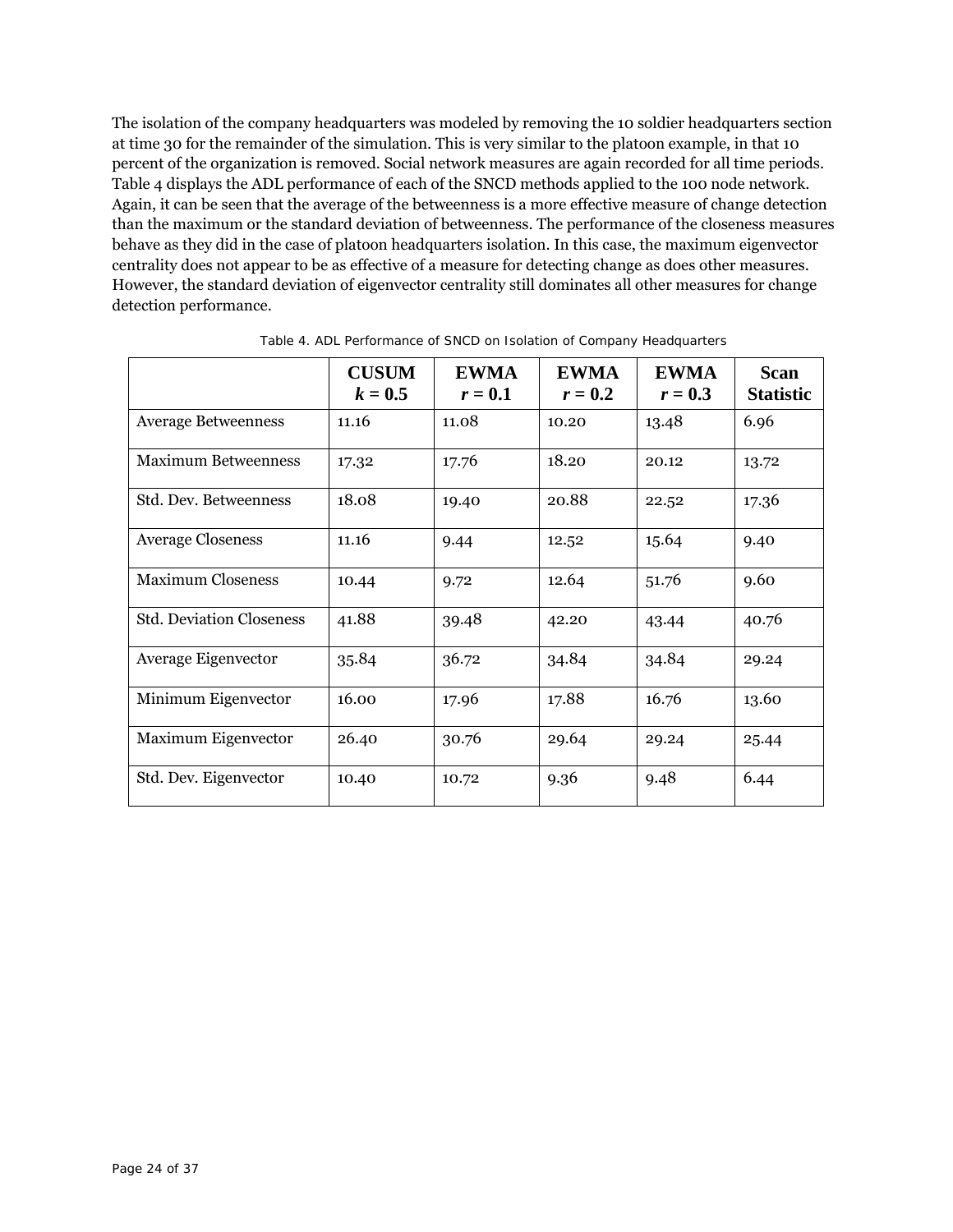The isolation of the company headquarters was modeled by removing the 10 soldier headquarters section at time 30 for the remainder of the simulation. This is very similar to the platoon example, in that 10 percent of the organization is removed. Social network measures are again recorded for all time periods. Table 4 displays the ADL performance of each of the SNCD methods applied to the 100 node network. Again, it can be seen that the average of the betweenness is a more effective measure of change detection than the maximum or the standard deviation of betweenness. The performance of the closeness measures behave as they did in the case of platoon headquarters isolation. In this case, the maximum eigenvector centrality does not appear to be as effective of a measure for detecting change as does other measures. However, the standard deviation of eigenvector centrality still dominates all other measures for change detection performance.

|                                 | <b>CUSUM</b><br>$k=0.5$ | <b>EWMA</b><br>$r=0.1$ | <b>EWMA</b><br>$r=0.2$ | <b>EWMA</b><br>$r=0.3$ | <b>Scan</b><br><b>Statistic</b> |
|---------------------------------|-------------------------|------------------------|------------------------|------------------------|---------------------------------|
| <b>Average Betweenness</b>      | 11.16                   | 11.08                  | 10.20                  | 13.48                  | 6.96                            |
| <b>Maximum Betweenness</b>      | 17.32                   | 17.76                  | 18.20                  | 20.12                  | 13.72                           |
| Std. Dev. Betweenness           | 18.08                   | 19.40                  | 20.88                  | 22.52                  | 17.36                           |
| <b>Average Closeness</b>        | 11.16                   | 9.44                   | 12.52                  | 15.64                  | 9.40                            |
| <b>Maximum Closeness</b>        | 10.44                   | 9.72                   | 12.64                  | 51.76                  | 9.60                            |
| <b>Std. Deviation Closeness</b> | 41.88                   | 39.48                  | 42.20                  | 43.44                  | 40.76                           |
| Average Eigenvector             | 35.84                   | 36.72                  | 34.84                  | 34.84                  | 29.24                           |
| Minimum Eigenvector             | 16.00                   | 17.96                  | 17.88                  | 16.76                  | 13.60                           |
| Maximum Eigenvector             | 26.40                   | 30.76                  | 29.64                  | 29.24                  | 25.44                           |
| Std. Dev. Eigenvector           | 10.40                   | 10.72                  | 9.36                   | 9.48                   | 6.44                            |

Table 4. ADL Performance of SNCD on Isolation of Company Headquarters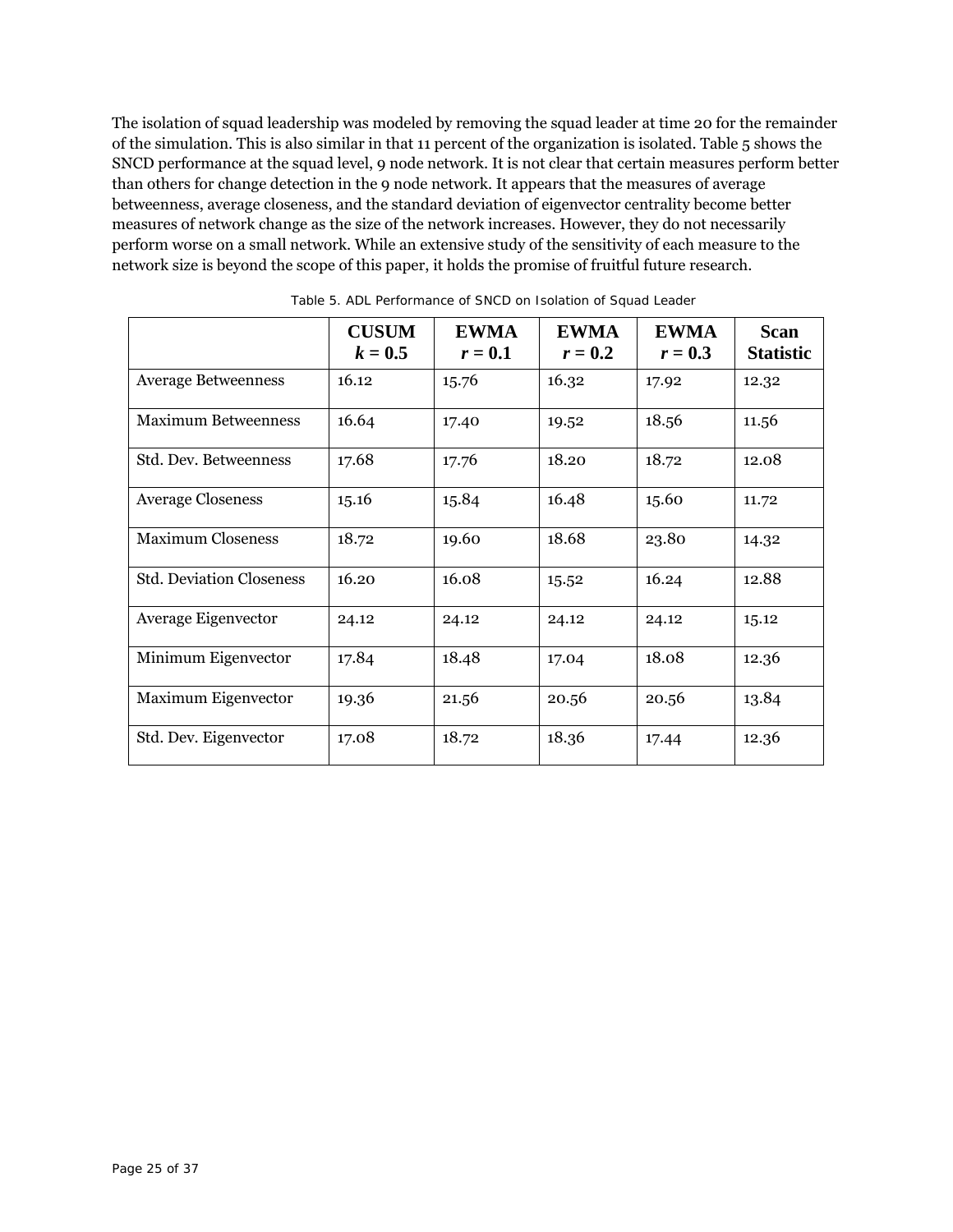The isolation of squad leadership was modeled by removing the squad leader at time 20 for the remainder of the simulation. This is also similar in that 11 percent of the organization is isolated. Table 5 shows the SNCD performance at the squad level, 9 node network. It is not clear that certain measures perform better than others for change detection in the 9 node network. It appears that the measures of average betweenness, average closeness, and the standard deviation of eigenvector centrality become better measures of network change as the size of the network increases. However, they do not necessarily perform worse on a small network. While an extensive study of the sensitivity of each measure to the network size is beyond the scope of this paper, it holds the promise of fruitful future research.

|                                 | <b>CUSUM</b><br>$k=0.5$ | <b>EWMA</b><br>$r=0.1$ | <b>EWMA</b><br>$r=0.2$ | <b>EWMA</b><br>$r=0.3$ | <b>Scan</b><br><b>Statistic</b> |
|---------------------------------|-------------------------|------------------------|------------------------|------------------------|---------------------------------|
| <b>Average Betweenness</b>      | 16.12                   | 15.76                  | 16.32                  | 17.92                  | 12.32                           |
| <b>Maximum Betweenness</b>      | 16.64                   | 17.40                  | 19.52                  | 18.56                  | 11.56                           |
| Std. Dev. Betweenness           | 17.68                   | 17.76                  | 18.20                  | 18.72                  | 12.08                           |
| <b>Average Closeness</b>        | 15.16                   | 15.84                  | 16.48                  | 15.60                  | 11.72                           |
| <b>Maximum Closeness</b>        | 18.72                   | 19.60                  | 18.68                  | 23.80                  | 14.32                           |
| <b>Std. Deviation Closeness</b> | 16.20                   | 16.08                  | 15.52                  | 16.24                  | 12.88                           |
| Average Eigenvector             | 24.12                   | 24.12                  | 24.12                  | 24.12                  | 15.12                           |
| Minimum Eigenvector             | 17.84                   | 18.48                  | 17.04                  | 18.08                  | 12.36                           |
| Maximum Eigenvector             | 19.36                   | 21.56                  | 20.56                  | 20.56                  | 13.84                           |
| Std. Dev. Eigenvector           | 17.08                   | 18.72                  | 18.36                  | 17.44                  | 12.36                           |

Table 5. ADL Performance of SNCD on Isolation of Squad Leader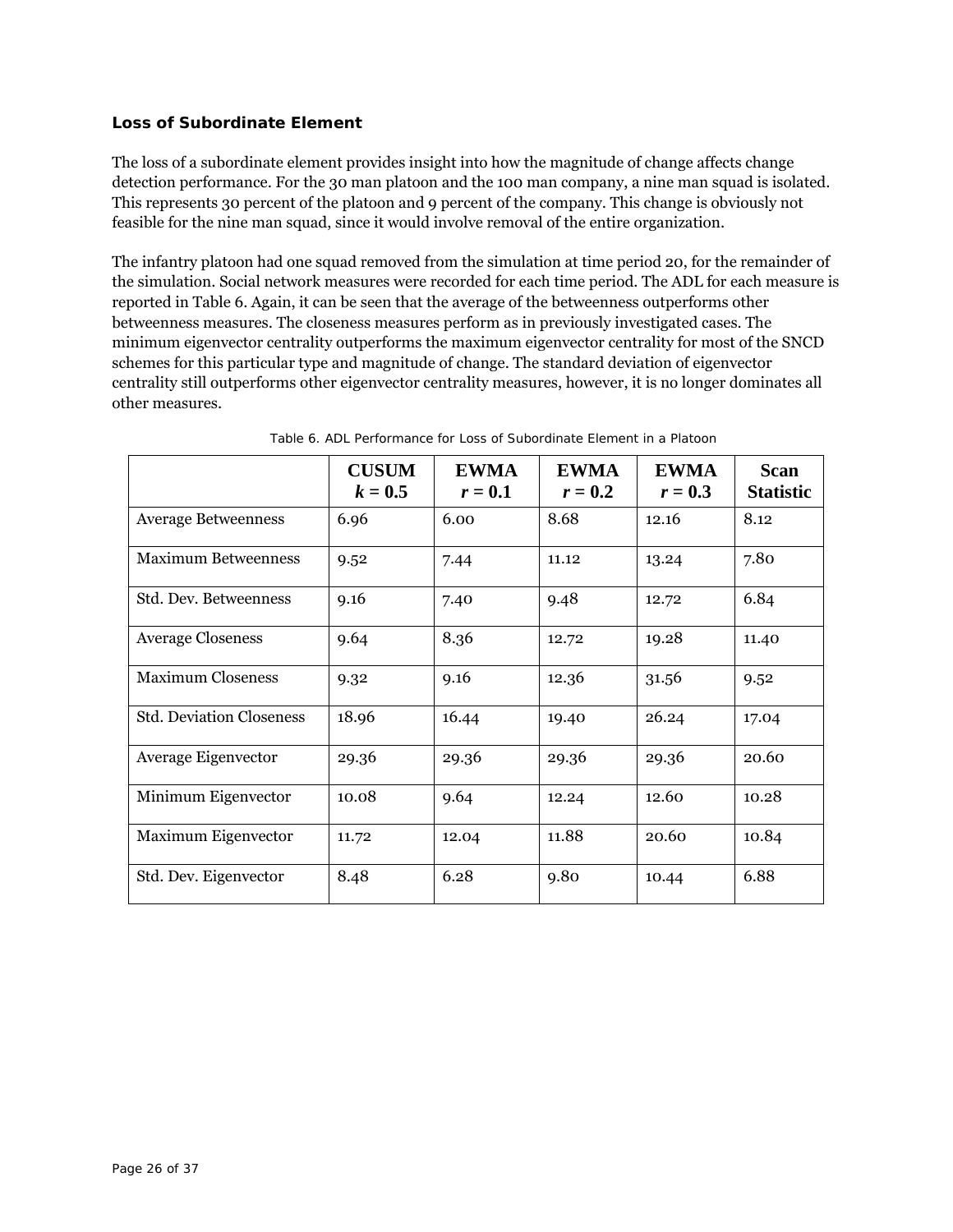## **Loss of Subordinate Element**

The loss of a subordinate element provides insight into how the magnitude of change affects change detection performance. For the 30 man platoon and the 100 man company, a nine man squad is isolated. This represents 30 percent of the platoon and 9 percent of the company. This change is obviously not feasible for the nine man squad, since it would involve removal of the entire organization.

The infantry platoon had one squad removed from the simulation at time period 20, for the remainder of the simulation. Social network measures were recorded for each time period. The ADL for each measure is reported in Table 6. Again, it can be seen that the average of the betweenness outperforms other betweenness measures. The closeness measures perform as in previously investigated cases. The minimum eigenvector centrality outperforms the maximum eigenvector centrality for most of the SNCD schemes for this particular type and magnitude of change. The standard deviation of eigenvector centrality still outperforms other eigenvector centrality measures, however, it is no longer dominates all other measures.

|                                 | <b>CUSUM</b><br>$k=0.5$ | <b>EWMA</b><br>$r=0.1$ | <b>EWMA</b><br>$r=0.2$ | <b>EWMA</b><br>$r=0.3$ | <b>Scan</b><br><b>Statistic</b> |
|---------------------------------|-------------------------|------------------------|------------------------|------------------------|---------------------------------|
| <b>Average Betweenness</b>      | 6.96                    | 6.00                   | 8.68                   | 12.16                  | 8.12                            |
| <b>Maximum Betweenness</b>      | 9.52                    | 7.44                   | 11.12                  | 13.24                  | 7.80                            |
| Std. Dev. Betweenness           | 9.16                    | 7.40                   | 9.48                   | 12.72                  | 6.84                            |
| <b>Average Closeness</b>        | 9.64                    | 8.36                   | 12.72                  | 19.28                  | 11.40                           |
| <b>Maximum Closeness</b>        | 9.32                    | 9.16                   | 12.36                  | 31.56                  | 9.52                            |
| <b>Std. Deviation Closeness</b> | 18.96                   | 16.44                  | 19.40                  | 26.24                  | 17.04                           |
| Average Eigenvector             | 29.36                   | 29.36                  | 29.36                  | 29.36                  | 20.60                           |
| Minimum Eigenvector             | 10.08                   | 9.64                   | 12.24                  | 12.60                  | 10.28                           |
| Maximum Eigenvector             | 11.72                   | 12.04                  | 11.88                  | 20.60                  | 10.84                           |
| Std. Dev. Eigenvector           | 8.48                    | 6.28                   | 9.80                   | 10.44                  | 6.88                            |

Table 6. ADL Performance for Loss of Subordinate Element in a Platoon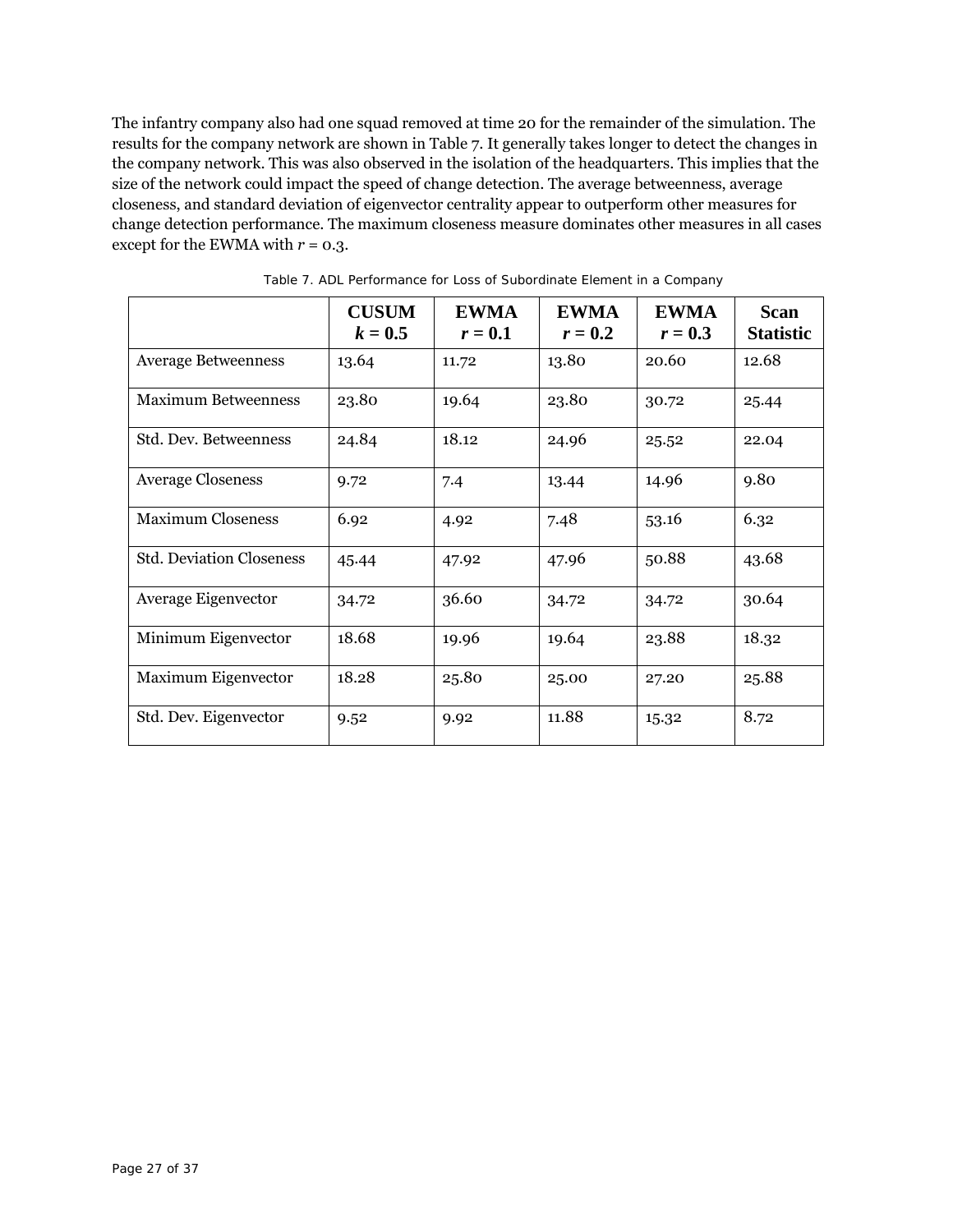The infantry company also had one squad removed at time 20 for the remainder of the simulation. The results for the company network are shown in Table 7. It generally takes longer to detect the changes in the company network. This was also observed in the isolation of the headquarters. This implies that the size of the network could impact the speed of change detection. The average betweenness, average closeness, and standard deviation of eigenvector centrality appear to outperform other measures for change detection performance. The maximum closeness measure dominates other measures in all cases except for the EWMA with  $r = 0.3$ .

|                                 | <b>CUSUM</b><br>$k = 0.5$ | <b>EWMA</b><br>$r=0.1$ | <b>EWMA</b><br>$r=0.2$ | <b>EWMA</b><br>$r=0.3$ | <b>Scan</b><br><b>Statistic</b> |
|---------------------------------|---------------------------|------------------------|------------------------|------------------------|---------------------------------|
| <b>Average Betweenness</b>      | 13.64                     | 11.72                  | 13.80                  | 20.60                  | 12.68                           |
| <b>Maximum Betweenness</b>      | 23.80                     | 19.64                  | 23.80                  | 30.72                  | 25.44                           |
| Std. Dev. Betweenness           | 24.84                     | 18.12                  | 24.96                  | 25.52                  | 22.04                           |
| <b>Average Closeness</b>        | 9.72                      | 7.4                    | 13.44                  | 14.96                  | 9.80                            |
| <b>Maximum Closeness</b>        | 6.92                      | 4.92                   | 7.48                   | 53.16                  | 6.32                            |
| <b>Std. Deviation Closeness</b> | 45.44                     | 47.92                  | 47.96                  | 50.88                  | 43.68                           |
| Average Eigenvector             | 34.72                     | 36.60                  | 34.72                  | 34.72                  | 30.64                           |
| Minimum Eigenvector             | 18.68                     | 19.96                  | 19.64                  | 23.88                  | 18.32                           |
| Maximum Eigenvector             | 18.28                     | 25.80                  | 25.00                  | 27.20                  | 25.88                           |
| Std. Dev. Eigenvector           | 9.52                      | 9.92                   | 11.88                  | 15.32                  | 8.72                            |

Table 7. ADL Performance for Loss of Subordinate Element in a Company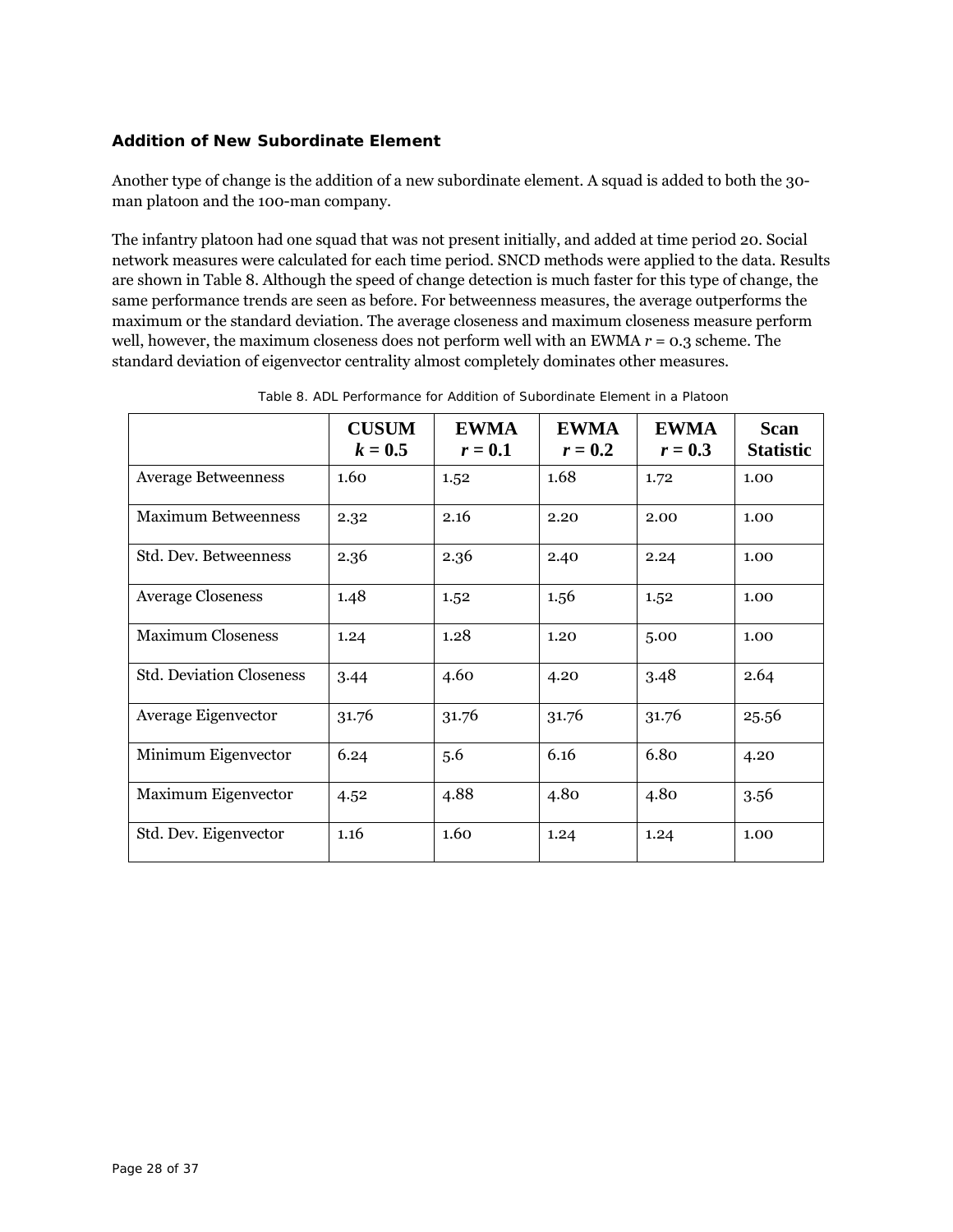## **Addition of New Subordinate Element**

Another type of change is the addition of a new subordinate element. A squad is added to both the 30 man platoon and the 100-man company.

The infantry platoon had one squad that was not present initially, and added at time period 20. Social network measures were calculated for each time period. SNCD methods were applied to the data. Results are shown in Table 8. Although the speed of change detection is much faster for this type of change, the same performance trends are seen as before. For betweenness measures, the average outperforms the maximum or the standard deviation. The average closeness and maximum closeness measure perform well, however, the maximum closeness does not perform well with an EWMA *r* = 0.3 scheme. The standard deviation of eigenvector centrality almost completely dominates other measures.

|                                 | <b>CUSUM</b><br>$k=0.5$ | <b>EWMA</b><br>$r=0.1$ | <b>EWMA</b><br>$r=0.2$ | <b>EWMA</b><br>$r=0.3$ | <b>Scan</b><br><b>Statistic</b> |
|---------------------------------|-------------------------|------------------------|------------------------|------------------------|---------------------------------|
| <b>Average Betweenness</b>      | 1.60                    | 1.52                   | 1.68                   | 1.72                   | 1.00                            |
| <b>Maximum Betweenness</b>      | 2.32                    | 2.16                   | 2.20                   | 2.00                   | 1.00                            |
| Std. Dev. Betweenness           | 2.36                    | 2.36                   | 2.40                   | 2.24                   | 1.00                            |
| <b>Average Closeness</b>        | 1.48                    | 1.52                   | 1.56                   | 1.52                   | 1.00                            |
| <b>Maximum Closeness</b>        | 1.24                    | 1.28                   | 1.20                   | 5.00                   | 1.00                            |
| <b>Std. Deviation Closeness</b> | 3.44                    | 4.60                   | 4.20                   | 3.48                   | 2.64                            |
| Average Eigenvector             | 31.76                   | 31.76                  | 31.76                  | 31.76                  | 25.56                           |
| Minimum Eigenvector             | 6.24                    | 5.6                    | 6.16                   | 6.80                   | 4.20                            |
| Maximum Eigenvector             | 4.52                    | 4.88                   | 4.80                   | 4.80                   | 3.56                            |
| Std. Dev. Eigenvector           | 1.16                    | 1.60                   | 1.24                   | 1.24                   | 1.00                            |

Table 8. ADL Performance for Addition of Subordinate Element in a Platoon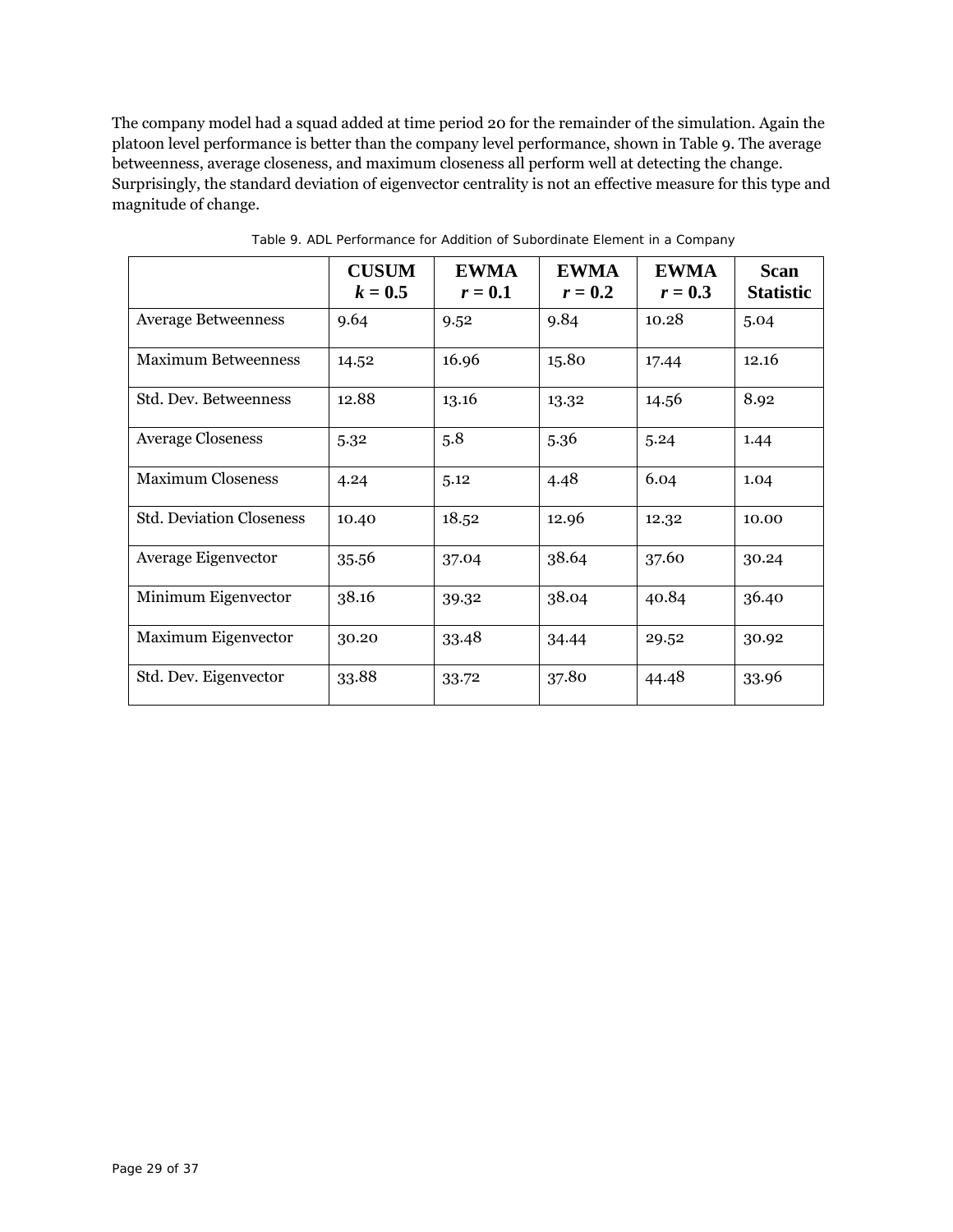The company model had a squad added at time period 20 for the remainder of the simulation. Again the platoon level performance is better than the company level performance, shown in Table 9. The average betweenness, average closeness, and maximum closeness all perform well at detecting the change. Surprisingly, the standard deviation of eigenvector centrality is not an effective measure for this type and magnitude of change.

|                                 | <b>CUSUM</b><br>$k = 0.5$ | <b>EWMA</b><br>$r=0.1$ | <b>EWMA</b><br>$r=0.2$ | <b>EWMA</b><br>$r=0.3$ | <b>Scan</b><br><b>Statistic</b> |
|---------------------------------|---------------------------|------------------------|------------------------|------------------------|---------------------------------|
| <b>Average Betweenness</b>      | 9.64                      | 9.52                   | 9.84                   | 10.28                  | 5.04                            |
| <b>Maximum Betweenness</b>      | 14.52                     | 16.96                  | 15.80                  | 17.44                  | 12.16                           |
| Std. Dev. Betweenness           | 12.88                     | 13.16                  | 13.32                  | 14.56                  | 8.92                            |
| <b>Average Closeness</b>        | 5.32                      | 5.8                    | 5.36                   | 5.24                   | 1.44                            |
| <b>Maximum Closeness</b>        | 4.24                      | 5.12                   | 4.48                   | 6.04                   | 1.04                            |
| <b>Std. Deviation Closeness</b> | 10.40                     | 18.52                  | 12.96                  | 12.32                  | 10.00                           |
| Average Eigenvector             | 35.56                     | 37.04                  | 38.64                  | 37.60                  | 30.24                           |
| Minimum Eigenvector             | 38.16                     | 39.32                  | 38.04                  | 40.84                  | 36.40                           |
| Maximum Eigenvector             | 30.20                     | 33.48                  | 34.44                  | 29.52                  | 30.92                           |
| Std. Dev. Eigenvector           | 33.88                     | 33.72                  | 37.80                  | 44.48                  | 33.96                           |

Table 9. ADL Performance for Addition of Subordinate Element in a Company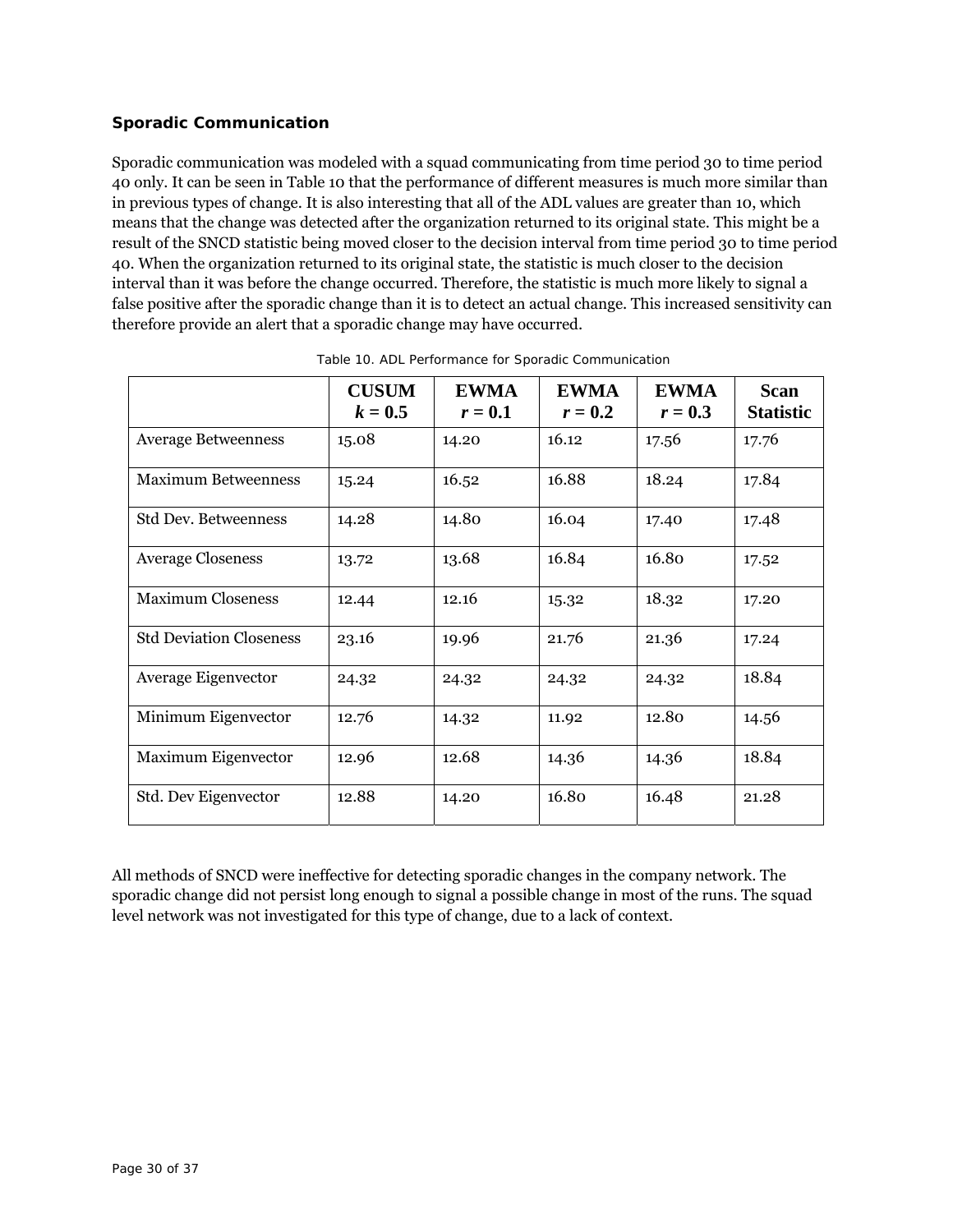## **Sporadic Communication**

Sporadic communication was modeled with a squad communicating from time period 30 to time period 40 only. It can be seen in Table 10 that the performance of different measures is much more similar than in previous types of change. It is also interesting that all of the ADL values are greater than 10, which means that the change was detected after the organization returned to its original state. This might be a result of the SNCD statistic being moved closer to the decision interval from time period 30 to time period 40. When the organization returned to its original state, the statistic is much closer to the decision interval than it was before the change occurred. Therefore, the statistic is much more likely to signal a false positive after the sporadic change than it is to detect an actual change. This increased sensitivity can therefore provide an alert that a sporadic change may have occurred.

|                                | <b>CUSUM</b><br>$k = 0.5$ | <b>EWMA</b><br>$r=0.1$ | <b>EWMA</b><br>$r=0.2$ | <b>EWMA</b><br>$r=0.3$ | <b>Scan</b><br><b>Statistic</b> |
|--------------------------------|---------------------------|------------------------|------------------------|------------------------|---------------------------------|
| <b>Average Betweenness</b>     | 15.08                     | 14.20                  | 16.12                  | 17.56                  | 17.76                           |
| <b>Maximum Betweenness</b>     | 15.24                     | 16.52                  | 16.88                  | 18.24                  | 17.84                           |
| Std Dev. Betweenness           | 14.28                     | 14.80                  | 16.04                  | 17.40                  | 17.48                           |
| <b>Average Closeness</b>       | 13.72                     | 13.68                  | 16.84                  | 16.80                  | 17.52                           |
| <b>Maximum Closeness</b>       | 12.44                     | 12.16                  | 15.32                  | 18.32                  | 17.20                           |
| <b>Std Deviation Closeness</b> | 23.16                     | 19.96                  | 21.76                  | 21.36                  | 17.24                           |
| Average Eigenvector            | 24.32                     | 24.32                  | 24.32                  | 24.32                  | 18.84                           |
| Minimum Eigenvector            | 12.76                     | 14.32                  | 11.92                  | 12.80                  | 14.56                           |
| Maximum Eigenvector            | 12.96                     | 12.68                  | 14.36                  | 14.36                  | 18.84                           |
| Std. Dev Eigenvector           | 12.88                     | 14.20                  | 16.80                  | 16.48                  | 21.28                           |

Table 10. ADL Performance for Sporadic Communication

All methods of SNCD were ineffective for detecting sporadic changes in the company network. The sporadic change did not persist long enough to signal a possible change in most of the runs. The squad level network was not investigated for this type of change, due to a lack of context.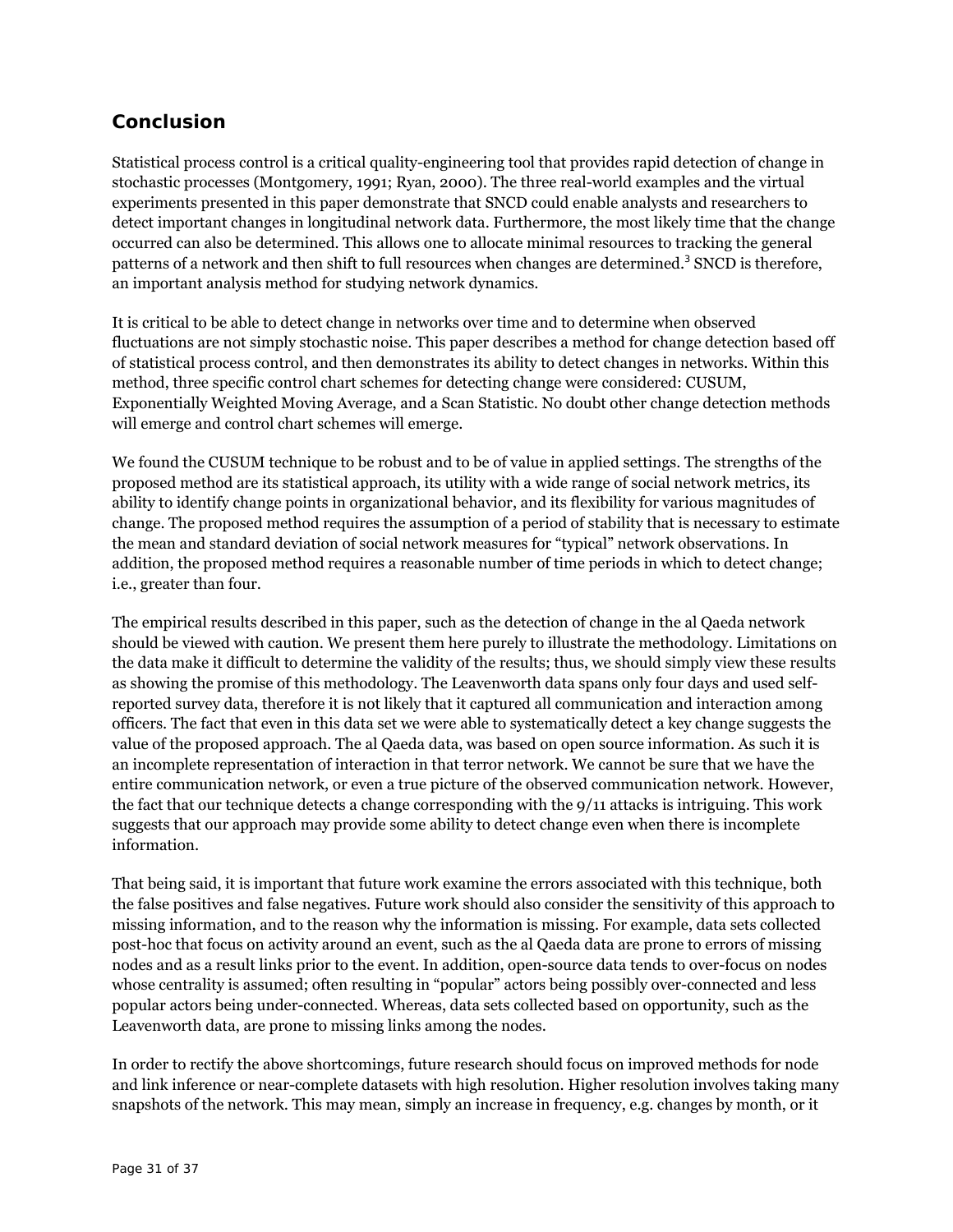# **Conclusion**

Statistical process control is a critical quality-engineering tool that provides rapid detection of change in stochastic processes (Montgomery, 1991; Ryan, 2000). The three real-world examples and the virtual experiments presented in this paper demonstrate that SNCD could enable analysts and researchers to detect important changes in longitudinal network data. Furthermore, the most likely time that the change occurred can also be determined. This allows one to allocate minimal resources to tracking the general patterns of a network and then shift to full resources when changes are determined.<sup>3</sup> SNCD is therefore, an important analysis method for studying network dynamics.

It is critical to be able to detect change in networks over time and to determine when observed fluctuations are not simply stochastic noise. This paper describes a method for change detection based off of statistical process control, and then demonstrates its ability to detect changes in networks. Within this method, three specific control chart schemes for detecting change were considered: CUSUM, Exponentially Weighted Moving Average, and a Scan Statistic. No doubt other change detection methods will emerge and control chart schemes will emerge.

We found the CUSUM technique to be robust and to be of value in applied settings. The strengths of the proposed method are its statistical approach, its utility with a wide range of social network metrics, its ability to identify change points in organizational behavior, and its flexibility for various magnitudes of change. The proposed method requires the assumption of a period of stability that is necessary to estimate the mean and standard deviation of social network measures for "typical" network observations. In addition, the proposed method requires a reasonable number of time periods in which to detect change; i.e., greater than four.

The empirical results described in this paper, such as the detection of change in the al Qaeda network should be viewed with caution. We present them here purely to illustrate the methodology. Limitations on the data make it difficult to determine the validity of the results; thus, we should simply view these results as showing the promise of this methodology. The Leavenworth data spans only four days and used selfreported survey data, therefore it is not likely that it captured all communication and interaction among officers. The fact that even in this data set we were able to systematically detect a key change suggests the value of the proposed approach. The al Qaeda data, was based on open source information. As such it is an incomplete representation of interaction in that terror network. We cannot be sure that we have the entire communication network, or even a true picture of the observed communication network. However, the fact that our technique detects a change corresponding with the 9/11 attacks is intriguing. This work suggests that our approach may provide some ability to detect change even when there is incomplete information.

That being said, it is important that future work examine the errors associated with this technique, both the false positives and false negatives. Future work should also consider the sensitivity of this approach to missing information, and to the reason why the information is missing. For example, data sets collected post-hoc that focus on activity around an event, such as the al Qaeda data are prone to errors of missing nodes and as a result links prior to the event. In addition, open-source data tends to over-focus on nodes whose centrality is assumed; often resulting in "popular" actors being possibly over-connected and less popular actors being under-connected. Whereas, data sets collected based on opportunity, such as the Leavenworth data, are prone to missing links among the nodes.

In order to rectify the above shortcomings, future research should focus on improved methods for node and link inference or near-complete datasets with high resolution. Higher resolution involves taking many snapshots of the network. This may mean, simply an increase in frequency, e.g. changes by month, or it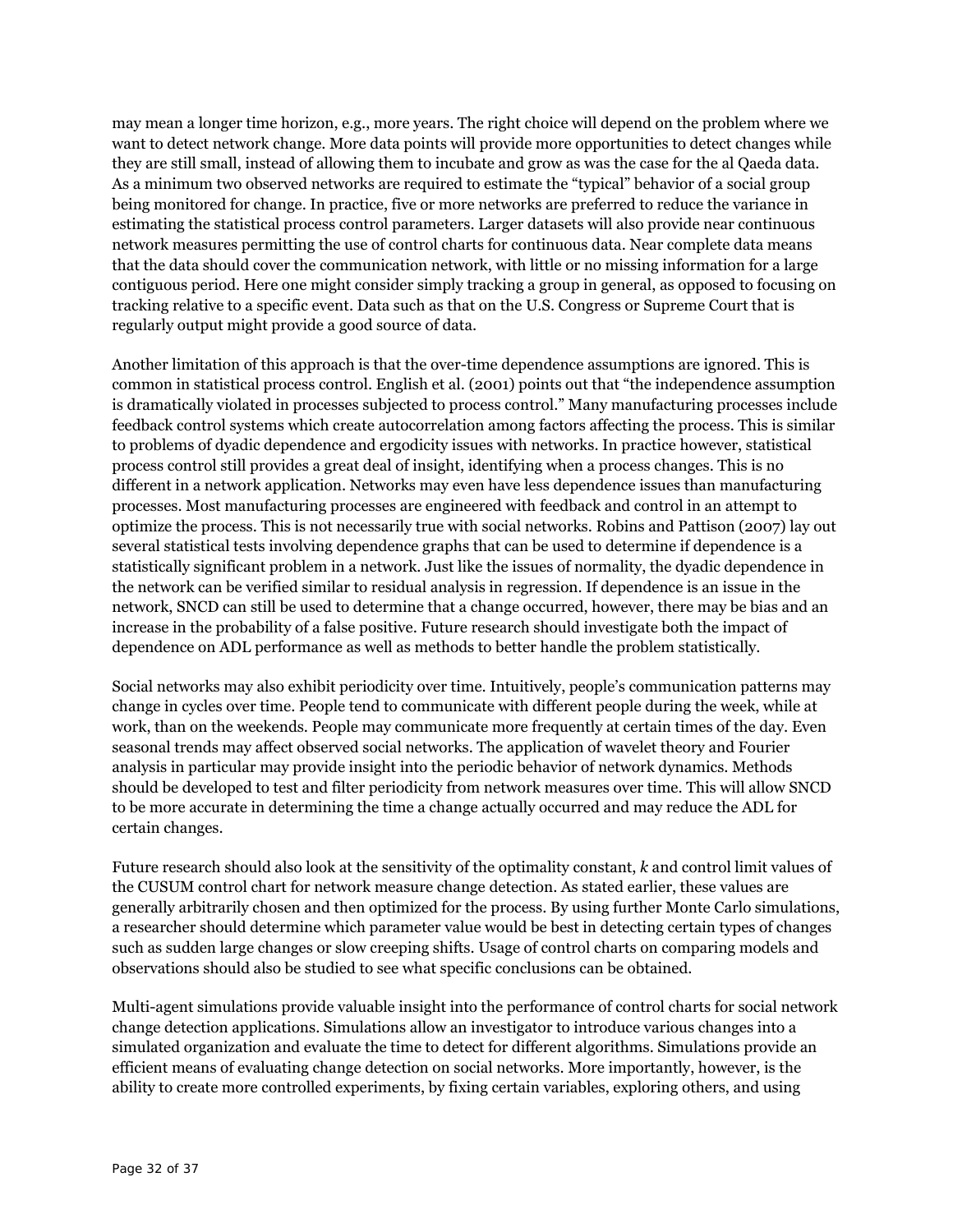may mean a longer time horizon, e.g., more years. The right choice will depend on the problem where we want to detect network change. More data points will provide more opportunities to detect changes while they are still small, instead of allowing them to incubate and grow as was the case for the al Qaeda data. As a minimum two observed networks are required to estimate the "typical" behavior of a social group being monitored for change. In practice, five or more networks are preferred to reduce the variance in estimating the statistical process control parameters. Larger datasets will also provide near continuous network measures permitting the use of control charts for continuous data. Near complete data means that the data should cover the communication network, with little or no missing information for a large contiguous period. Here one might consider simply tracking a group in general, as opposed to focusing on tracking relative to a specific event. Data such as that on the U.S. Congress or Supreme Court that is regularly output might provide a good source of data.

Another limitation of this approach is that the over-time dependence assumptions are ignored. This is common in statistical process control. English et al. (2001) points out that "the independence assumption is dramatically violated in processes subjected to process control." Many manufacturing processes include feedback control systems which create autocorrelation among factors affecting the process. This is similar to problems of dyadic dependence and ergodicity issues with networks. In practice however, statistical process control still provides a great deal of insight, identifying when a process changes. This is no different in a network application. Networks may even have less dependence issues than manufacturing processes. Most manufacturing processes are engineered with feedback and control in an attempt to optimize the process. This is not necessarily true with social networks. Robins and Pattison (2007) lay out several statistical tests involving dependence graphs that can be used to determine if dependence is a statistically significant problem in a network. Just like the issues of normality, the dyadic dependence in the network can be verified similar to residual analysis in regression. If dependence is an issue in the network, SNCD can still be used to determine that a change occurred, however, there may be bias and an increase in the probability of a false positive. Future research should investigate both the impact of dependence on ADL performance as well as methods to better handle the problem statistically.

Social networks may also exhibit periodicity over time. Intuitively, people's communication patterns may change in cycles over time. People tend to communicate with different people during the week, while at work, than on the weekends. People may communicate more frequently at certain times of the day. Even seasonal trends may affect observed social networks. The application of wavelet theory and Fourier analysis in particular may provide insight into the periodic behavior of network dynamics. Methods should be developed to test and filter periodicity from network measures over time. This will allow SNCD to be more accurate in determining the time a change actually occurred and may reduce the ADL for certain changes.

Future research should also look at the sensitivity of the optimality constant, *k* and control limit values of the CUSUM control chart for network measure change detection. As stated earlier, these values are generally arbitrarily chosen and then optimized for the process. By using further Monte Carlo simulations, a researcher should determine which parameter value would be best in detecting certain types of changes such as sudden large changes or slow creeping shifts. Usage of control charts on comparing models and observations should also be studied to see what specific conclusions can be obtained.

Multi-agent simulations provide valuable insight into the performance of control charts for social network change detection applications. Simulations allow an investigator to introduce various changes into a simulated organization and evaluate the time to detect for different algorithms. Simulations provide an efficient means of evaluating change detection on social networks. More importantly, however, is the ability to create more controlled experiments, by fixing certain variables, exploring others, and using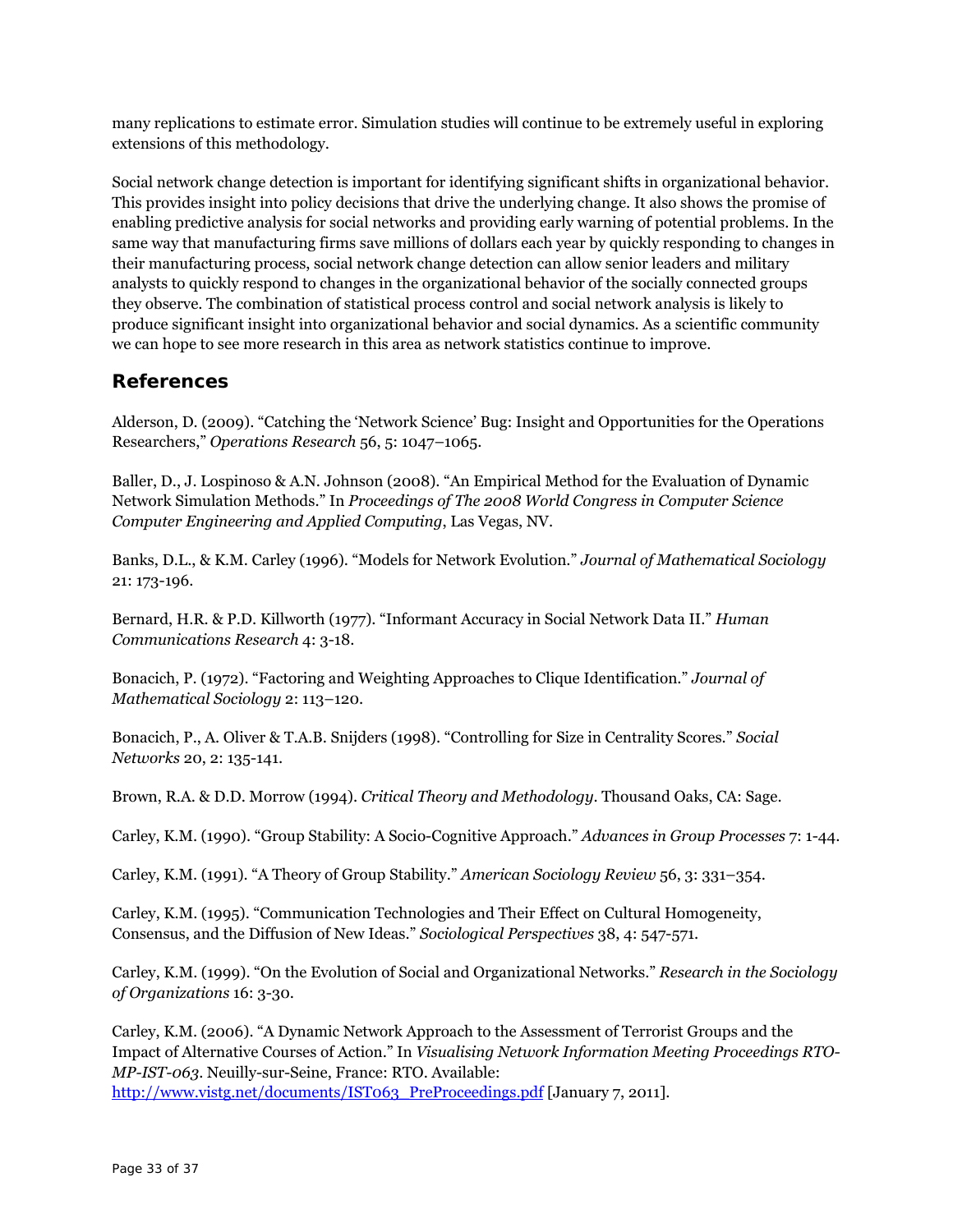many replications to estimate error. Simulation studies will continue to be extremely useful in exploring extensions of this methodology.

Social network change detection is important for identifying significant shifts in organizational behavior. This provides insight into policy decisions that drive the underlying change. It also shows the promise of enabling predictive analysis for social networks and providing early warning of potential problems. In the same way that manufacturing firms save millions of dollars each year by quickly responding to changes in their manufacturing process, social network change detection can allow senior leaders and military analysts to quickly respond to changes in the organizational behavior of the socially connected groups they observe. The combination of statistical process control and social network analysis is likely to produce significant insight into organizational behavior and social dynamics. As a scientific community we can hope to see more research in this area as network statistics continue to improve.

# **References**

Alderson, D. (2009). "Catching the 'Network Science' Bug: Insight and Opportunities for the Operations Researchers," *Operations Research* 56, 5: 1047–1065.

Baller, D., J. Lospinoso & A.N. Johnson (2008). "An Empirical Method for the Evaluation of Dynamic Network Simulation Methods." In *Proceedings of The 2008 World Congress in Computer Science Computer Engineering and Applied Computing*, Las Vegas, NV.

Banks, D.L., & K.M. Carley (1996). "Models for Network Evolution." *Journal of Mathematical Sociology* 21: 173-196.

Bernard, H.R. & P.D. Killworth (1977). "Informant Accuracy in Social Network Data II." *Human Communications Research* 4: 3-18.

Bonacich, P. (1972). "Factoring and Weighting Approaches to Clique Identification." *Journal of Mathematical Sociology* 2: 113–120.

Bonacich, P., A. Oliver & T.A.B. Snijders (1998). "Controlling for Size in Centrality Scores." *Social Networks* 20, 2: 135-141.

Brown, R.A. & D.D. Morrow (1994). *Critical Theory and Methodology*. Thousand Oaks, CA: Sage.

Carley, K.M. (1990). "Group Stability: A Socio-Cognitive Approach." *Advances in Group Processes* 7: 1-44.

Carley, K.M. (1991). "A Theory of Group Stability." *American Sociology Review* 56, 3: 331–354.

Carley, K.M. (1995). "Communication Technologies and Their Effect on Cultural Homogeneity, Consensus, and the Diffusion of New Ideas." *Sociological Perspectives* 38, 4: 547-571.

Carley, K.M. (1999). "On the Evolution of Social and Organizational Networks." *Research in the Sociology of Organizations* 16: 3-30.

Carley, K.M. (2006). "A Dynamic Network Approach to the Assessment of Terrorist Groups and the Impact of Alternative Courses of Action." In *Visualising Network Information Meeting Proceedings RTO-MP-IST-063*. Neuilly-sur-Seine, France: RTO. Available: http://www.vistg.net/documents/IST063\_PreProceedings.pdf [January 7, 2011].

Page 33 of 37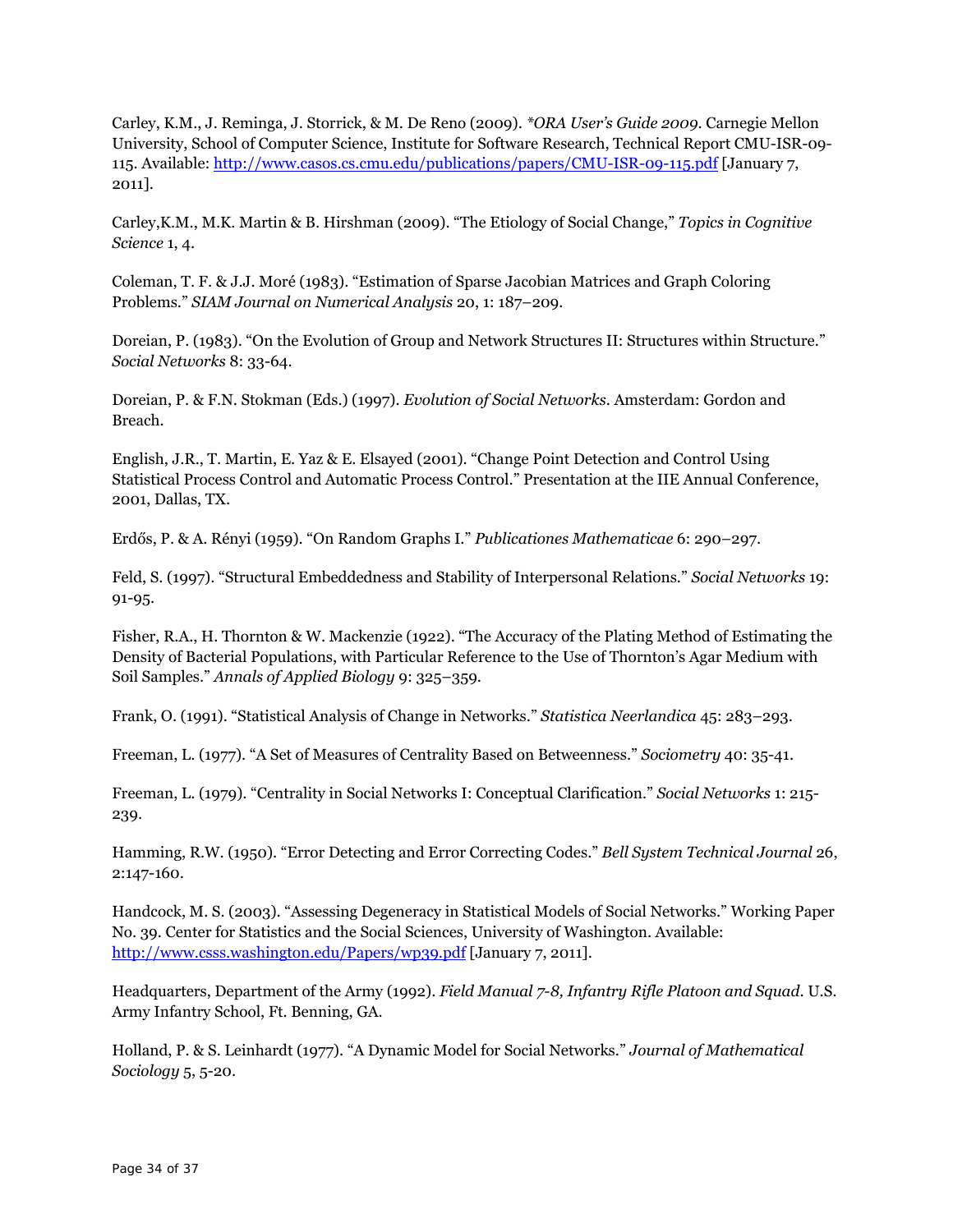Carley, K.M., J. Reminga, J. Storrick, & M. De Reno (2009). *\*ORA User's Guide 2009*. Carnegie Mellon University, School of Computer Science, Institute for Software Research, Technical Report CMU-ISR-09- 115. Available: http://www.casos.cs.cmu.edu/publications/papers/CMU-ISR-09-115.pdf [January 7, 2011].

Carley,K.M., M.K. Martin & B. Hirshman (2009). "The Etiology of Social Change," *Topics in Cognitive Science* 1, 4.

Coleman, T. F. & J.J. Moré (1983). "Estimation of Sparse Jacobian Matrices and Graph Coloring Problems." *SIAM Journal on Numerical Analysis* 20, 1: 187–209.

Doreian, P. (1983). "On the Evolution of Group and Network Structures II: Structures within Structure." *Social Networks* 8: 33-64.

Doreian, P. & F.N. Stokman (Eds.) (1997). *Evolution of Social Networks*. Amsterdam: Gordon and Breach.

English, J.R., T. Martin, E. Yaz & E. Elsayed (2001). "Change Point Detection and Control Using Statistical Process Control and Automatic Process Control." Presentation at the IIE Annual Conference, 2001, Dallas, TX.

Erdős, P. & A. Rényi (1959). "On Random Graphs I." *Publicationes Mathematicae* 6: 290–297.

Feld, S. (1997). "Structural Embeddedness and Stability of Interpersonal Relations." *Social Networks* 19: 91-95.

Fisher, R.A., H. Thornton & W. Mackenzie (1922). "The Accuracy of the Plating Method of Estimating the Density of Bacterial Populations, with Particular Reference to the Use of Thornton's Agar Medium with Soil Samples." *Annals of Applied Biology* 9: 325–359.

Frank, O. (1991). "Statistical Analysis of Change in Networks." *Statistica Neerlandica* 45: 283–293.

Freeman, L. (1977). "A Set of Measures of Centrality Based on Betweenness." *Sociometry* 40: 35-41.

Freeman, L. (1979). "Centrality in Social Networks I: Conceptual Clarification." *Social Networks* 1: 215- 239.

Hamming, R.W. (1950). "Error Detecting and Error Correcting Codes." *Bell System Technical Journal* 26, 2:147-160.

Handcock, M. S. (2003). "Assessing Degeneracy in Statistical Models of Social Networks." Working Paper No. 39. Center for Statistics and the Social Sciences, University of Washington. Available: http://www.csss.washington.edu/Papers/wp39.pdf [January 7, 2011].

Headquarters, Department of the Army (1992). *Field Manual 7-8, Infantry Rifle Platoon and Squad*. U.S. Army Infantry School, Ft. Benning, GA.

Holland, P. & S. Leinhardt (1977). "A Dynamic Model for Social Networks." *Journal of Mathematical Sociology* 5, 5-20.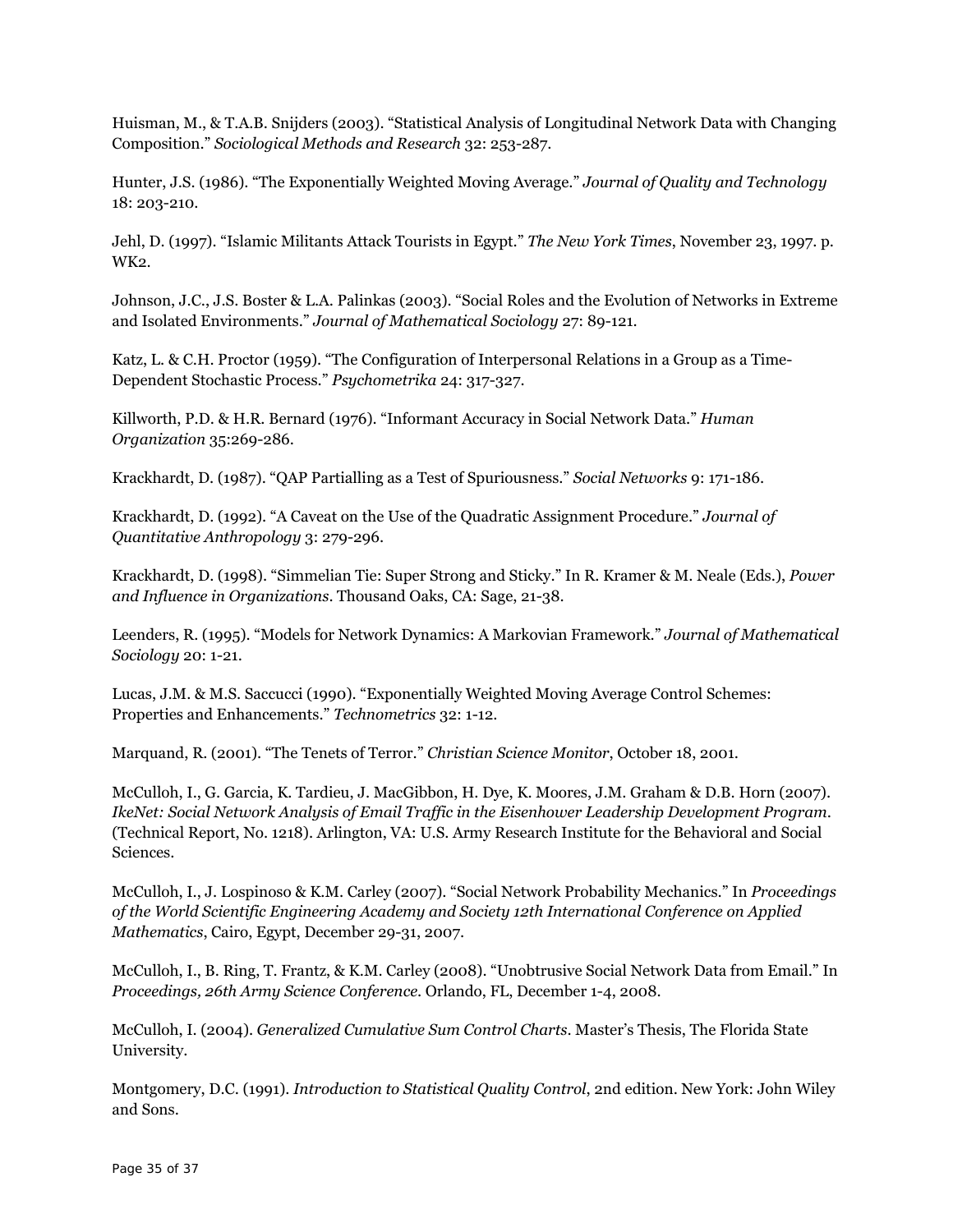Huisman, M., & T.A.B. Snijders (2003). "Statistical Analysis of Longitudinal Network Data with Changing Composition." *Sociological Methods and Research* 32: 253-287.

Hunter, J.S. (1986). "The Exponentially Weighted Moving Average." *Journal of Quality and Technology* 18: 203-210.

Jehl, D. (1997). "Islamic Militants Attack Tourists in Egypt." *The New York Times*, November 23, 1997. p. WK2.

Johnson, J.C., J.S. Boster & L.A. Palinkas (2003). "Social Roles and the Evolution of Networks in Extreme and Isolated Environments." *Journal of Mathematical Sociology* 27: 89-121.

Katz, L. & C.H. Proctor (1959). "The Configuration of Interpersonal Relations in a Group as a Time-Dependent Stochastic Process." *Psychometrika* 24: 317-327.

Killworth, P.D. & H.R. Bernard (1976). "Informant Accuracy in Social Network Data." *Human Organization* 35:269-286.

Krackhardt, D. (1987). "QAP Partialling as a Test of Spuriousness." *Social Networks* 9: 171-186.

Krackhardt, D. (1992). "A Caveat on the Use of the Quadratic Assignment Procedure." *Journal of Quantitative Anthropology* 3: 279-296.

Krackhardt, D. (1998). "Simmelian Tie: Super Strong and Sticky." In R. Kramer & M. Neale (Eds.), *Power and Influence in Organizations*. Thousand Oaks, CA: Sage, 21-38.

Leenders, R. (1995). "Models for Network Dynamics: A Markovian Framework." *Journal of Mathematical Sociology* 20: 1-21.

Lucas, J.M. & M.S. Saccucci (1990). "Exponentially Weighted Moving Average Control Schemes: Properties and Enhancements." *Technometrics* 32: 1-12.

Marquand, R. (2001). "The Tenets of Terror." *Christian Science Monitor*, October 18, 2001.

McCulloh, I., G. Garcia, K. Tardieu, J. MacGibbon, H. Dye, K. Moores, J.M. Graham & D.B. Horn (2007). *IkeNet: Social Network Analysis of Email Traffic in the Eisenhower Leadership Development Program*. (Technical Report, No. 1218). Arlington, VA: U.S. Army Research Institute for the Behavioral and Social Sciences.

McCulloh, I., J. Lospinoso & K.M. Carley (2007). "Social Network Probability Mechanics." In *Proceedings of the World Scientific Engineering Academy and Society 12th International Conference on Applied Mathematics*, Cairo, Egypt, December 29-31, 2007.

McCulloh, I., B. Ring, T. Frantz, & K.M. Carley (2008). "Unobtrusive Social Network Data from Email." In *Proceedings, 26th Army Science Conference*. Orlando, FL, December 1-4, 2008.

McCulloh, I. (2004). *Generalized Cumulative Sum Control Charts*. Master's Thesis, The Florida State University.

Montgomery, D.C. (1991). *Introduction to Statistical Quality Control*, 2nd edition. New York: John Wiley and Sons.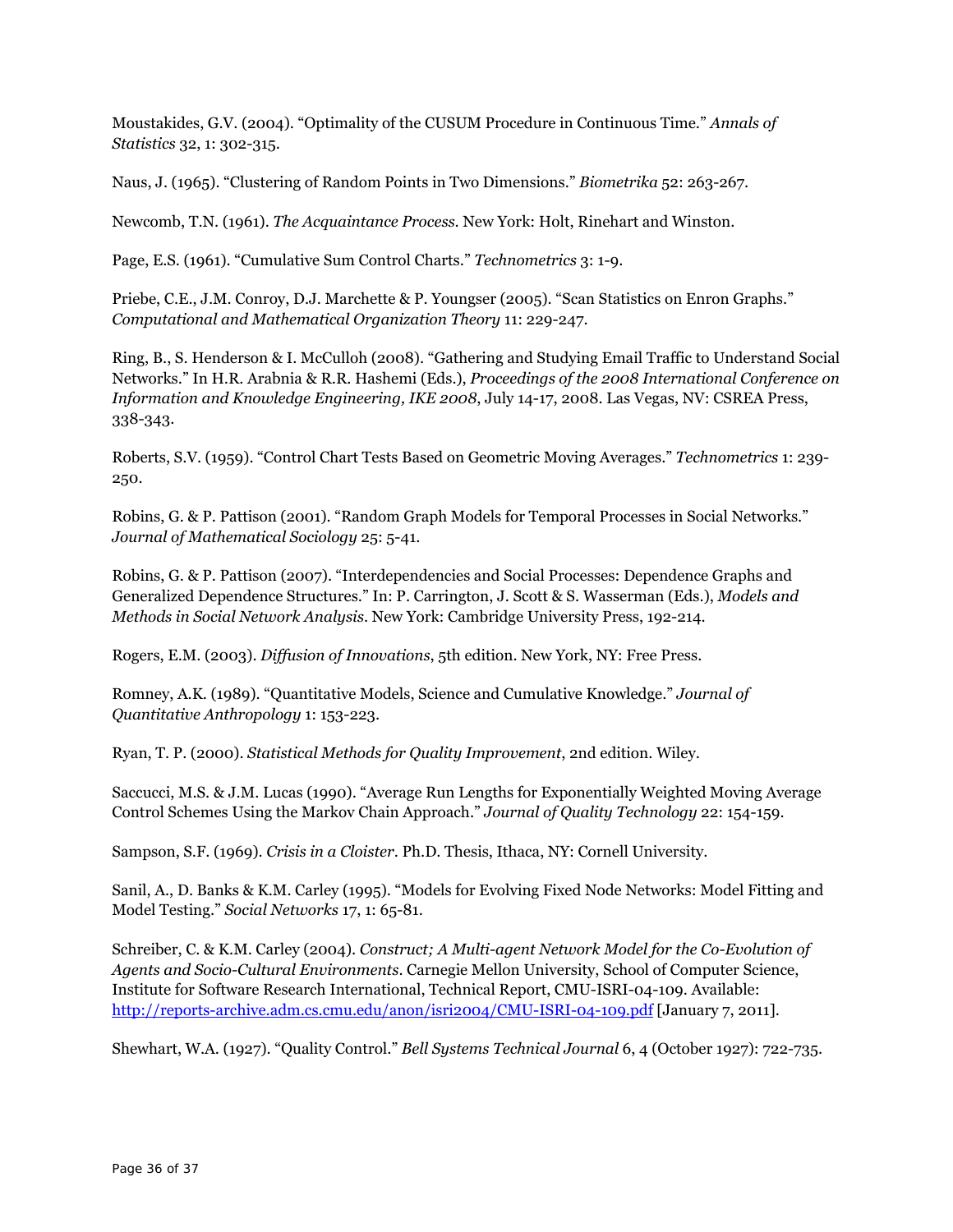Moustakides, G.V. (2004). "Optimality of the CUSUM Procedure in Continuous Time." *Annals of Statistics* 32, 1: 302-315.

Naus, J. (1965). "Clustering of Random Points in Two Dimensions." *Biometrika* 52: 263-267.

Newcomb, T.N. (1961). *The Acquaintance Process*. New York: Holt, Rinehart and Winston.

Page, E.S. (1961). "Cumulative Sum Control Charts." *Technometrics* 3: 1-9.

Priebe, C.E., J.M. Conroy, D.J. Marchette & P. Youngser (2005). "Scan Statistics on Enron Graphs." *Computational and Mathematical Organization Theory* 11: 229-247.

Ring, B., S. Henderson & I. McCulloh (2008). "Gathering and Studying Email Traffic to Understand Social Networks." In H.R. Arabnia & R.R. Hashemi (Eds.), *Proceedings of the 2008 International Conference on Information and Knowledge Engineering, IKE 2008*, July 14-17, 2008. Las Vegas, NV: CSREA Press, 338-343.

Roberts, S.V. (1959). "Control Chart Tests Based on Geometric Moving Averages." *Technometrics* 1: 239- 250.

Robins, G. & P. Pattison (2001). "Random Graph Models for Temporal Processes in Social Networks." *Journal of Mathematical Sociology* 25: 5-41.

Robins, G. & P. Pattison (2007). "Interdependencies and Social Processes: Dependence Graphs and Generalized Dependence Structures." In: P. Carrington, J. Scott & S. Wasserman (Eds.), *Models and Methods in Social Network Analysis*. New York: Cambridge University Press, 192-214.

Rogers, E.M. (2003). *Diffusion of Innovations*, 5th edition. New York, NY: Free Press.

Romney, A.K. (1989). "Quantitative Models, Science and Cumulative Knowledge." *Journal of Quantitative Anthropology* 1: 153-223.

Ryan, T. P. (2000). *Statistical Methods for Quality Improvement*, 2nd edition. Wiley.

Saccucci, M.S. & J.M. Lucas (1990). "Average Run Lengths for Exponentially Weighted Moving Average Control Schemes Using the Markov Chain Approach." *Journal of Quality Technology* 22: 154-159.

Sampson, S.F. (1969). *Crisis in a Cloister*. Ph.D. Thesis, Ithaca, NY: Cornell University.

Sanil, A., D. Banks & K.M. Carley (1995). "Models for Evolving Fixed Node Networks: Model Fitting and Model Testing." *Social Networks* 17, 1: 65-81.

Schreiber, C. & K.M. Carley (2004). *Construct; A Multi-agent Network Model for the Co-Evolution of Agents and Socio-Cultural Environments*. Carnegie Mellon University, School of Computer Science, Institute for Software Research International, Technical Report, CMU-ISRI-04-109. Available: http://reports-archive.adm.cs.cmu.edu/anon/isri2004/CMU-ISRI-04-109.pdf [January 7, 2011].

Shewhart, W.A. (1927). "Quality Control." *Bell Systems Technical Journal* 6, 4 (October 1927): 722-735.